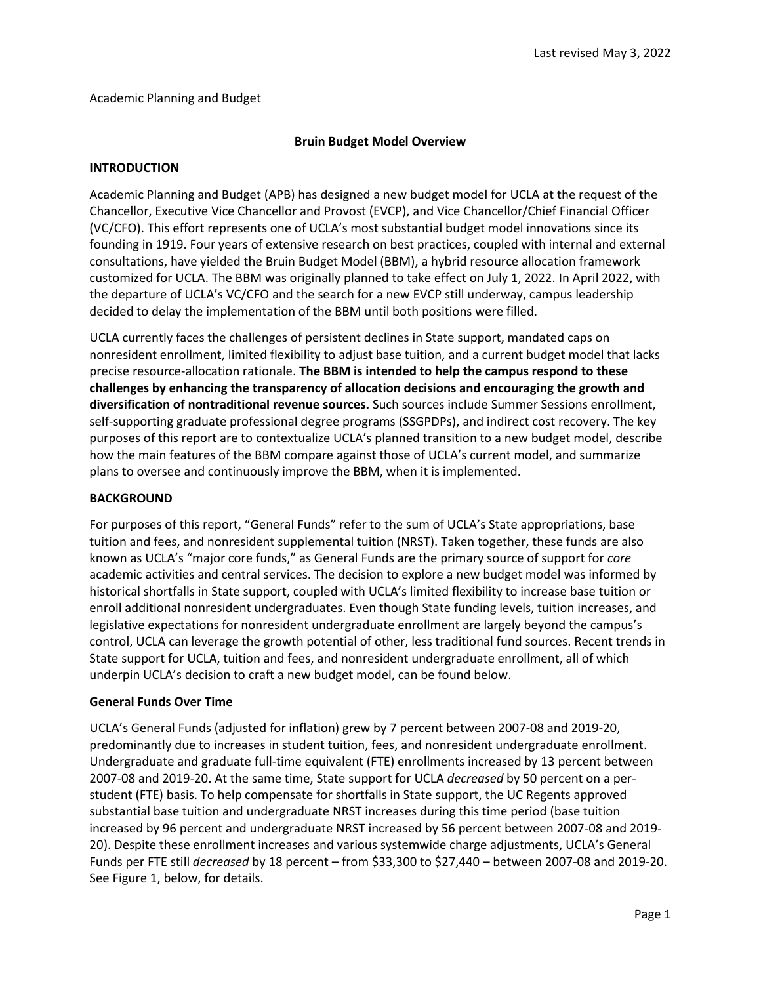#### Academic Planning and Budget

#### **Bruin Budget Model Overview**

#### **INTRODUCTION**

Academic Planning and Budget (APB) has designed a new budget model for UCLA at the request of the Chancellor, Executive Vice Chancellor and Provost (EVCP), and Vice Chancellor/Chief Financial Officer (VC/CFO). This effort represents one of UCLA's most substantial budget model innovations since its founding in 1919. Four years of extensive research on best practices, coupled with internal and external consultations, have yielded the Bruin Budget Model (BBM), a hybrid resource allocation framework customized for UCLA. The BBM was originally planned to take effect on July 1, 2022. In April 2022, with the departure of UCLA's VC/CFO and the search for a new EVCP still underway, campus leadership decided to delay the implementation of the BBM until both positions were filled.

UCLA currently faces the challenges of persistent declines in State support, mandated caps on nonresident enrollment, limited flexibility to adjust base tuition, and a current budget model that lacks precise resource-allocation rationale. **The BBM is intended to help the campus respond to these challenges by enhancing the transparency of allocation decisions and encouraging the growth and diversification of nontraditional revenue sources.** Such sources include Summer Sessions enrollment, self-supporting graduate professional degree programs (SSGPDPs), and indirect cost recovery. The key purposes of this report are to contextualize UCLA's planned transition to a new budget model, describe how the main features of the BBM compare against those of UCLA's current model, and summarize plans to oversee and continuously improve the BBM, when it is implemented.

#### **BACKGROUND**

For purposes of this report, "General Funds" refer to the sum of UCLA's State appropriations, base tuition and fees, and nonresident supplemental tuition (NRST). Taken together, these funds are also known as UCLA's "major core funds," as General Funds are the primary source of support for *core* academic activities and central services. The decision to explore a new budget model was informed by historical shortfalls in State support, coupled with UCLA's limited flexibility to increase base tuition or enroll additional nonresident undergraduates. Even though State funding levels, tuition increases, and legislative expectations for nonresident undergraduate enrollment are largely beyond the campus's control, UCLA can leverage the growth potential of other, less traditional fund sources. Recent trends in State support for UCLA, tuition and fees, and nonresident undergraduate enrollment, all of which underpin UCLA's decision to craft a new budget model, can be found below.

#### **General Funds Over Time**

UCLA's General Funds (adjusted for inflation) grew by 7 percent between 2007-08 and 2019-20, predominantly due to increases in student tuition, fees, and nonresident undergraduate enrollment. Undergraduate and graduate full-time equivalent (FTE) enrollments increased by 13 percent between 2007-08 and 2019-20. At the same time, State support for UCLA *decreased* by 50 percent on a perstudent (FTE) basis. To help compensate for shortfalls in State support, the UC Regents approved substantial base tuition and undergraduate NRST increases during this time period (base tuition increased by 96 percent and undergraduate NRST increased by 56 percent between 2007-08 and 2019- 20). Despite these enrollment increases and various systemwide charge adjustments, UCLA's General Funds per FTE still *decreased* by 18 percent – from \$33,300 to \$27,440 – between 2007-08 and 2019-20. See Figure 1, below, for details.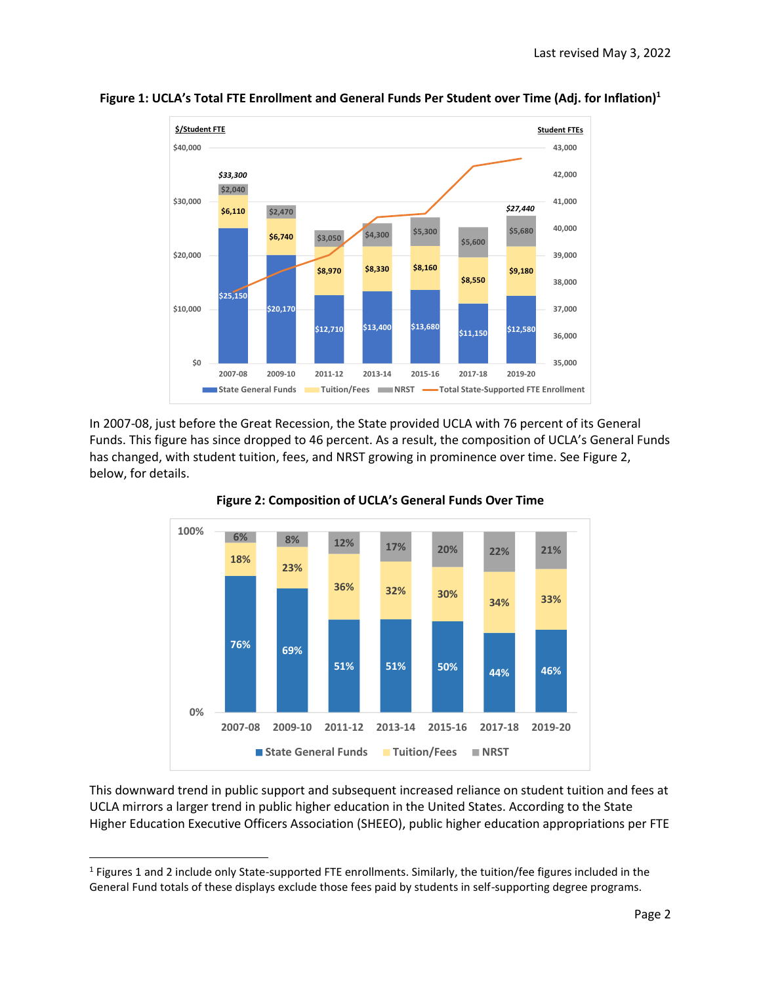

**Figure 1: UCLA's Total FTE Enrollment and General Funds Per Student over Time (Adj. for Inflation)<sup>1</sup>**

In 2007-08, just before the Great Recession, the State provided UCLA with 76 percent of its General Funds. This figure has since dropped to 46 percent. As a result, the composition of UCLA's General Funds has changed, with student tuition, fees, and NRST growing in prominence over time. See Figure 2, below, for details.





This downward trend in public support and subsequent increased reliance on student tuition and fees at UCLA mirrors a larger trend in public higher education in the United States. According to the State Higher Education Executive Officers Association (SHEEO), public higher education appropriations per FTE

 $\overline{\phantom{a}}$ 

<sup>&</sup>lt;sup>1</sup> Figures 1 and 2 include only State-supported FTE enrollments. Similarly, the tuition/fee figures included in the General Fund totals of these displays exclude those fees paid by students in self-supporting degree programs.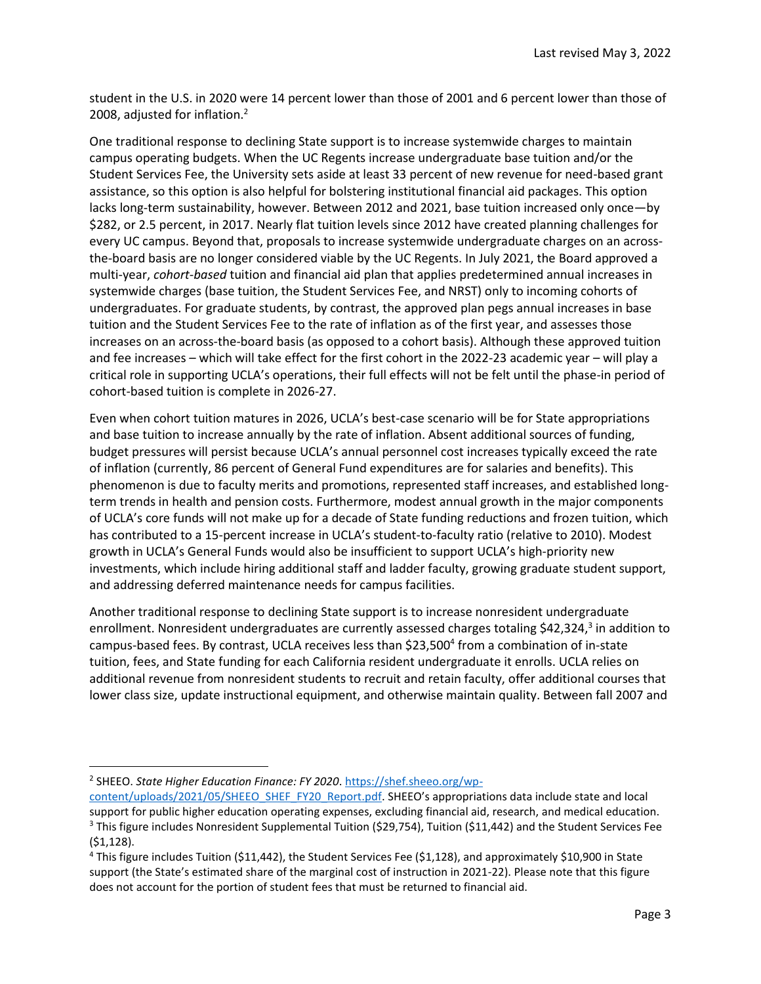student in the U.S. in 2020 were 14 percent lower than those of 2001 and 6 percent lower than those of 2008, adjusted for inflation.<sup>2</sup>

One traditional response to declining State support is to increase systemwide charges to maintain campus operating budgets. When the UC Regents increase undergraduate base tuition and/or the Student Services Fee, the University sets aside at least 33 percent of new revenue for need-based grant assistance, so this option is also helpful for bolstering institutional financial aid packages. This option lacks long-term sustainability, however. Between 2012 and 2021, base tuition increased only once—by \$282, or 2.5 percent, in 2017. Nearly flat tuition levels since 2012 have created planning challenges for every UC campus. Beyond that, proposals to increase systemwide undergraduate charges on an acrossthe-board basis are no longer considered viable by the UC Regents. In July 2021, the Board approved a multi-year, *cohort-based* tuition and financial aid plan that applies predetermined annual increases in systemwide charges (base tuition, the Student Services Fee, and NRST) only to incoming cohorts of undergraduates. For graduate students, by contrast, the approved plan pegs annual increases in base tuition and the Student Services Fee to the rate of inflation as of the first year, and assesses those increases on an across-the-board basis (as opposed to a cohort basis). Although these approved tuition and fee increases – which will take effect for the first cohort in the 2022-23 academic year – will play a critical role in supporting UCLA's operations, their full effects will not be felt until the phase-in period of cohort-based tuition is complete in 2026-27.

Even when cohort tuition matures in 2026, UCLA's best-case scenario will be for State appropriations and base tuition to increase annually by the rate of inflation. Absent additional sources of funding, budget pressures will persist because UCLA's annual personnel cost increases typically exceed the rate of inflation (currently, 86 percent of General Fund expenditures are for salaries and benefits). This phenomenon is due to faculty merits and promotions, represented staff increases, and established longterm trends in health and pension costs. Furthermore, modest annual growth in the major components of UCLA's core funds will not make up for a decade of State funding reductions and frozen tuition, which has contributed to a 15-percent increase in UCLA's student-to-faculty ratio (relative to 2010). Modest growth in UCLA's General Funds would also be insufficient to support UCLA's high-priority new investments, which include hiring additional staff and ladder faculty, growing graduate student support, and addressing deferred maintenance needs for campus facilities.

Another traditional response to declining State support is to increase nonresident undergraduate enrollment. Nonresident undergraduates are currently assessed charges totaling \$42,324,<sup>3</sup> in addition to campus-based fees. By contrast, UCLA receives less than \$23,500<sup>4</sup> from a combination of in-state tuition, fees, and State funding for each California resident undergraduate it enrolls. UCLA relies on additional revenue from nonresident students to recruit and retain faculty, offer additional courses that lower class size, update instructional equipment, and otherwise maintain quality. Between fall 2007 and

 $\overline{a}$ 

<sup>&</sup>lt;sup>2</sup> SHEEO. *State Higher Education Finance: FY 2020*. <u>https://shef.sheeo.org/wp-</u>

[content/uploads/2021/05/SHEEO\\_SHEF\\_FY20\\_Report.pdf](https://shef.sheeo.org/wp-content/uploads/2021/05/SHEEO_SHEF_FY20_Report.pdf). SHEEO's appropriations data include state and local support for public higher education operating expenses, excluding financial aid, research, and medical education. <sup>3</sup> This figure includes Nonresident Supplemental Tuition (\$29,754), Tuition (\$11,442) and the Student Services Fee (\$1,128).

<sup>4</sup> This figure includes Tuition (\$11,442), the Student Services Fee (\$1,128), and approximately \$10,900 in State support (the State's estimated share of the marginal cost of instruction in 2021-22). Please note that this figure does not account for the portion of student fees that must be returned to financial aid.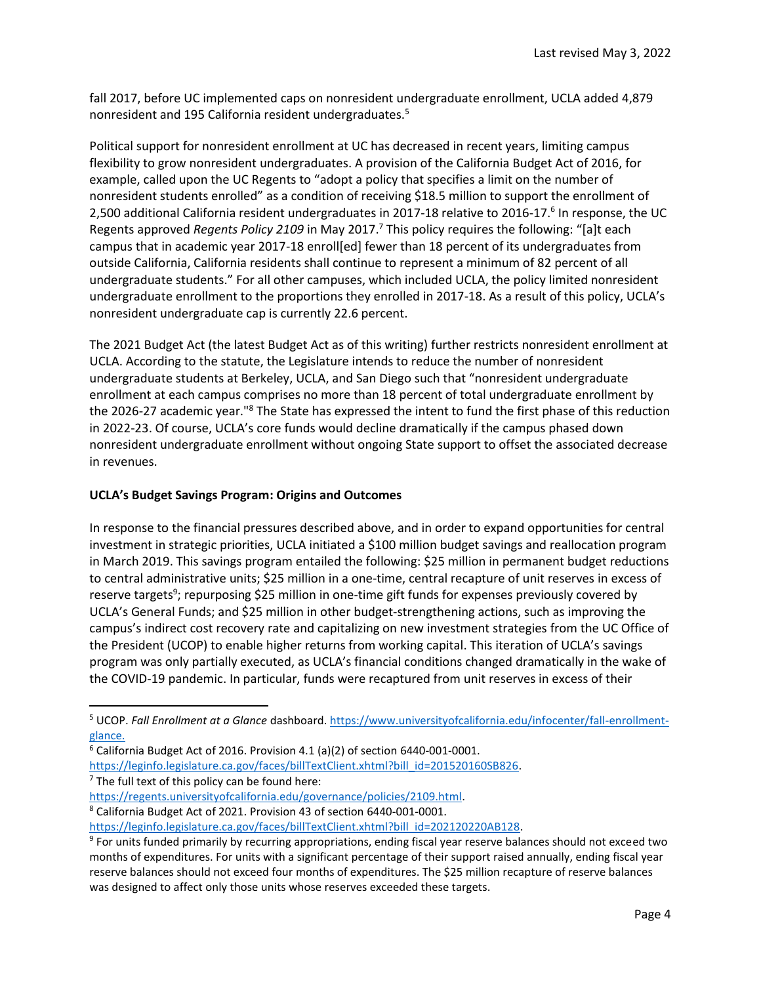fall 2017, before UC implemented caps on nonresident undergraduate enrollment, UCLA added 4,879 nonresident and 195 California resident undergraduates.<sup>5</sup>

Political support for nonresident enrollment at UC has decreased in recent years, limiting campus flexibility to grow nonresident undergraduates. A provision of the California Budget Act of 2016, for example, called upon the UC Regents to "adopt a policy that specifies a limit on the number of nonresident students enrolled" as a condition of receiving \$18.5 million to support the enrollment of 2,500 additional California resident undergraduates in 2017-18 relative to 2016-17.<sup>6</sup> In response, the UC Regents approved *Regents Policy 2109* in May 2017.<sup>7</sup> This policy requires the following: "[a]t each campus that in academic year 2017-18 enroll[ed] fewer than 18 percent of its undergraduates from outside California, California residents shall continue to represent a minimum of 82 percent of all undergraduate students." For all other campuses, which included UCLA, the policy limited nonresident undergraduate enrollment to the proportions they enrolled in 2017-18. As a result of this policy, UCLA's nonresident undergraduate cap is currently 22.6 percent.

The 2021 Budget Act (the latest Budget Act as of this writing) further restricts nonresident enrollment at UCLA. According to the statute, the Legislature intends to reduce the number of nonresident undergraduate students at Berkeley, UCLA, and San Diego such that "nonresident undergraduate enrollment at each campus comprises no more than 18 percent of total undergraduate enrollment by the 2026-27 academic year."<sup>8</sup> The State has expressed the intent to fund the first phase of this reduction in 2022-23. Of course, UCLA's core funds would decline dramatically if the campus phased down nonresident undergraduate enrollment without ongoing State support to offset the associated decrease in revenues.

# **UCLA's Budget Savings Program: Origins and Outcomes**

In response to the financial pressures described above, and in order to expand opportunities for central investment in strategic priorities, UCLA initiated a \$100 million budget savings and reallocation program in March 2019. This savings program entailed the following: \$25 million in permanent budget reductions to central administrative units; \$25 million in a one-time, central recapture of unit reserves in excess of reserve targets<sup>9</sup>; repurposing \$25 million in one-time gift funds for expenses previously covered by UCLA's General Funds; and \$25 million in other budget-strengthening actions, such as improving the campus's indirect cost recovery rate and capitalizing on new investment strategies from the UC Office of the President (UCOP) to enable higher returns from working capital. This iteration of UCLA's savings program was only partially executed, as UCLA's financial conditions changed dramatically in the wake of the COVID-19 pandemic. In particular, funds were recaptured from unit reserves in excess of their

- $6$  California Budget Act of 2016. Provision 4.1 (a)(2) of section 6440-001-0001.
- https://leginfo.legislature.ca.gov/faces/billTextClient.xhtml?bill\_id=201520160SB826.

 $7$  The full text of this policy can be found here:

 $\overline{\phantom{a}}$ 

- [https://regents.universityofcalifornia.edu/governance/policies/2109.html.](https://regents.universityofcalifornia.edu/governance/policies/2109.html)
- <sup>8</sup> California Budget Act of 2021. Provision 43 of section 6440-001-0001.

<sup>5</sup> UCOP. *Fall Enrollment at a Glance* dashboard[. https://www.universityofcalifornia.edu/infocenter/fall-enrollment](https://www.universityofcalifornia.edu/infocenter/fall-enrollment-glance)[glance.](https://www.universityofcalifornia.edu/infocenter/fall-enrollment-glance)

[https://leginfo.legislature.ca.gov/faces/billTextClient.xhtml?bill\\_id=202120220AB128.](https://leginfo.legislature.ca.gov/faces/billTextClient.xhtml?bill_id=202120220AB128)

<sup>&</sup>lt;sup>9</sup> For units funded primarily by recurring appropriations, ending fiscal year reserve balances should not exceed two months of expenditures. For units with a significant percentage of their support raised annually, ending fiscal year reserve balances should not exceed four months of expenditures. The \$25 million recapture of reserve balances was designed to affect only those units whose reserves exceeded these targets.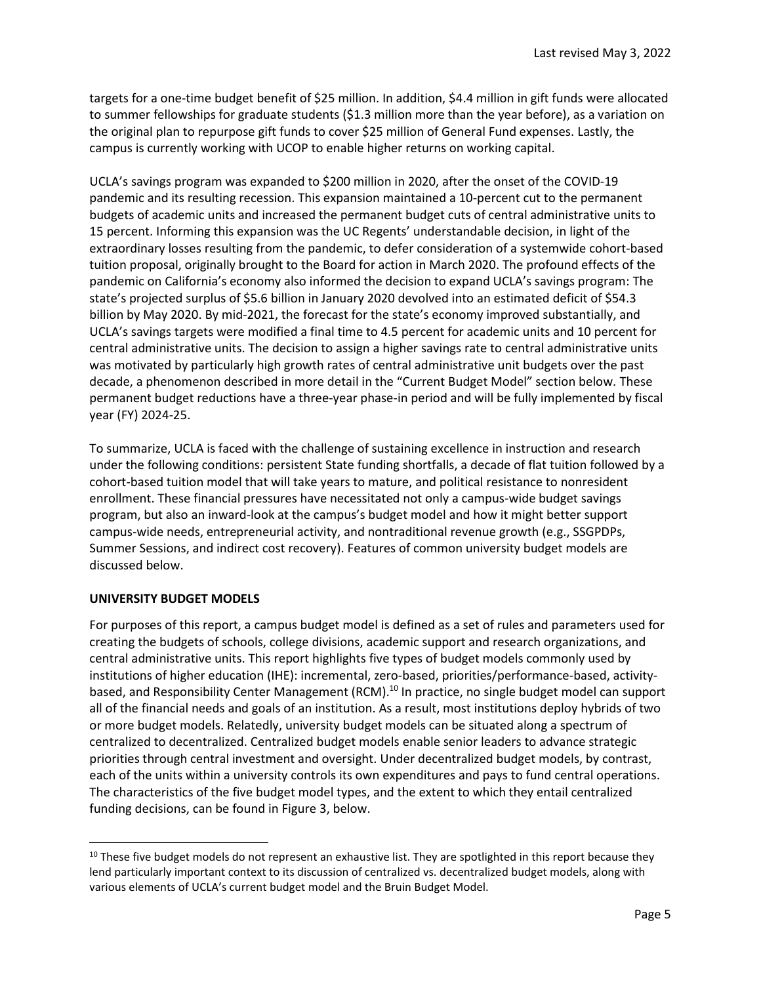targets for a one-time budget benefit of \$25 million. In addition, \$4.4 million in gift funds were allocated to summer fellowships for graduate students (\$1.3 million more than the year before), as a variation on the original plan to repurpose gift funds to cover \$25 million of General Fund expenses. Lastly, the campus is currently working with UCOP to enable higher returns on working capital.

UCLA's savings program was expanded to \$200 million in 2020, after the onset of the COVID-19 pandemic and its resulting recession. This expansion maintained a 10-percent cut to the permanent budgets of academic units and increased the permanent budget cuts of central administrative units to 15 percent. Informing this expansion was the UC Regents' understandable decision, in light of the extraordinary losses resulting from the pandemic, to defer consideration of a systemwide cohort-based tuition proposal, originally brought to the Board for action in March 2020. The profound effects of the pandemic on California's economy also informed the decision to expand UCLA's savings program: The state's projected surplus of \$5.6 billion in January 2020 devolved into an estimated deficit of \$54.3 billion by May 2020. By mid-2021, the forecast for the state's economy improved substantially, and UCLA's savings targets were modified a final time to 4.5 percent for academic units and 10 percent for central administrative units. The decision to assign a higher savings rate to central administrative units was motivated by particularly high growth rates of central administrative unit budgets over the past decade, a phenomenon described in more detail in the "Current Budget Model" section below. These permanent budget reductions have a three-year phase-in period and will be fully implemented by fiscal year (FY) 2024-25.

To summarize, UCLA is faced with the challenge of sustaining excellence in instruction and research under the following conditions: persistent State funding shortfalls, a decade of flat tuition followed by a cohort-based tuition model that will take years to mature, and political resistance to nonresident enrollment. These financial pressures have necessitated not only a campus-wide budget savings program, but also an inward-look at the campus's budget model and how it might better support campus-wide needs, entrepreneurial activity, and nontraditional revenue growth (e.g., SSGPDPs, Summer Sessions, and indirect cost recovery). Features of common university budget models are discussed below.

#### **UNIVERSITY BUDGET MODELS**

 $\overline{a}$ 

For purposes of this report, a campus budget model is defined as a set of rules and parameters used for creating the budgets of schools, college divisions, academic support and research organizations, and central administrative units. This report highlights five types of budget models commonly used by institutions of higher education (IHE): incremental, zero-based, priorities/performance-based, activitybased, and Responsibility Center Management (RCM).<sup>10</sup> In practice, no single budget model can support all of the financial needs and goals of an institution. As a result, most institutions deploy hybrids of two or more budget models. Relatedly, university budget models can be situated along a spectrum of centralized to decentralized. Centralized budget models enable senior leaders to advance strategic priorities through central investment and oversight. Under decentralized budget models, by contrast, each of the units within a university controls its own expenditures and pays to fund central operations. The characteristics of the five budget model types, and the extent to which they entail centralized funding decisions, can be found in Figure 3, below.

<sup>&</sup>lt;sup>10</sup> These five budget models do not represent an exhaustive list. They are spotlighted in this report because they lend particularly important context to its discussion of centralized vs. decentralized budget models, along with various elements of UCLA's current budget model and the Bruin Budget Model.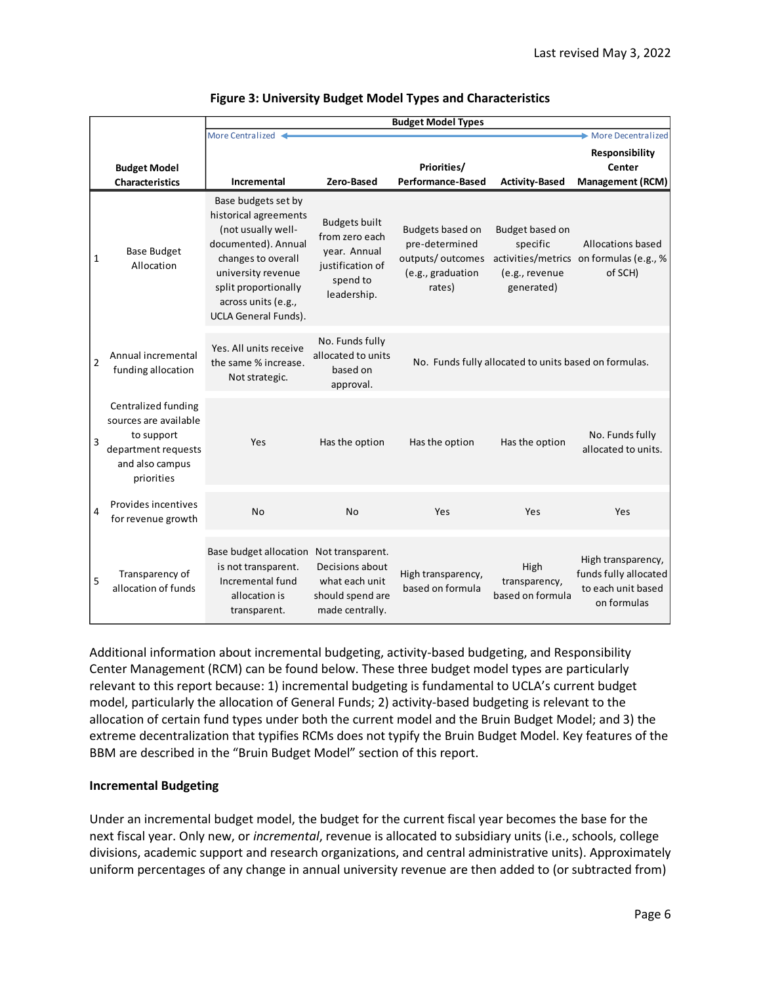|                |                                                                                                                    | <b>Budget Model Types</b>                                                                                                                                                                                           |                                                                                                       |                                                                                       |                                                             |                                                                                                    |  |  |  |  |
|----------------|--------------------------------------------------------------------------------------------------------------------|---------------------------------------------------------------------------------------------------------------------------------------------------------------------------------------------------------------------|-------------------------------------------------------------------------------------------------------|---------------------------------------------------------------------------------------|-------------------------------------------------------------|----------------------------------------------------------------------------------------------------|--|--|--|--|
|                |                                                                                                                    | More Centralized <                                                                                                                                                                                                  | More Decentralized                                                                                    |                                                                                       |                                                             |                                                                                                    |  |  |  |  |
|                | <b>Budget Model</b><br><b>Characteristics</b>                                                                      | Incremental                                                                                                                                                                                                         | Priorities/<br>Zero-Based<br><b>Performance-Based</b><br><b>Activity-Based</b>                        |                                                                                       |                                                             |                                                                                                    |  |  |  |  |
| 1              | <b>Base Budget</b><br>Allocation                                                                                   | Base budgets set by<br>historical agreements<br>(not usually well-<br>documented). Annual<br>changes to overall<br>university revenue<br>split proportionally<br>across units (e.g.,<br><b>UCLA General Funds).</b> | <b>Budgets built</b><br>from zero each<br>year. Annual<br>justification of<br>spend to<br>leadership. | Budgets based on<br>pre-determined<br>outputs/outcomes<br>(e.g., graduation<br>rates) | Budget based on<br>specific<br>(e.g., revenue<br>generated) | <b>Management (RCM)</b><br>Allocations based<br>activities/metrics on formulas (e.g., %<br>of SCH) |  |  |  |  |
| $\overline{2}$ | Annual incremental<br>funding allocation                                                                           | Yes. All units receive<br>the same % increase.<br>Not strategic.                                                                                                                                                    | No. Funds fully<br>allocated to units<br>based on<br>approval.                                        |                                                                                       | No. Funds fully allocated to units based on formulas.       |                                                                                                    |  |  |  |  |
| 3              | Centralized funding<br>sources are available<br>to support<br>department requests<br>and also campus<br>priorities | Yes                                                                                                                                                                                                                 | Has the option                                                                                        | Has the option                                                                        | Has the option                                              | No. Funds fully<br>allocated to units.                                                             |  |  |  |  |
| 4              | Provides incentives<br>for revenue growth                                                                          | <b>No</b>                                                                                                                                                                                                           | <b>No</b>                                                                                             | Yes<br>Yes                                                                            |                                                             | Yes                                                                                                |  |  |  |  |
| 5              | Transparency of<br>allocation of funds                                                                             | Base budget allocation<br>is not transparent.<br>Incremental fund<br>allocation is<br>transparent.                                                                                                                  | Not transparent.<br>Decisions about<br>what each unit<br>should spend are<br>made centrally.          | High transparency,<br>based on formula                                                | High<br>transparency,<br>based on formula                   | High transparency,<br>funds fully allocated<br>to each unit based<br>on formulas                   |  |  |  |  |

### **Figure 3: University Budget Model Types and Characteristics**

Additional information about incremental budgeting, activity-based budgeting, and Responsibility Center Management (RCM) can be found below. These three budget model types are particularly relevant to this report because: 1) incremental budgeting is fundamental to UCLA's current budget model, particularly the allocation of General Funds; 2) activity-based budgeting is relevant to the allocation of certain fund types under both the current model and the Bruin Budget Model; and 3) the extreme decentralization that typifies RCMs does not typify the Bruin Budget Model. Key features of the BBM are described in the "Bruin Budget Model" section of this report.

### **Incremental Budgeting**

Under an incremental budget model, the budget for the current fiscal year becomes the base for the next fiscal year. Only new, or *incremental*, revenue is allocated to subsidiary units (i.e., schools, college divisions, academic support and research organizations, and central administrative units). Approximately uniform percentages of any change in annual university revenue are then added to (or subtracted from)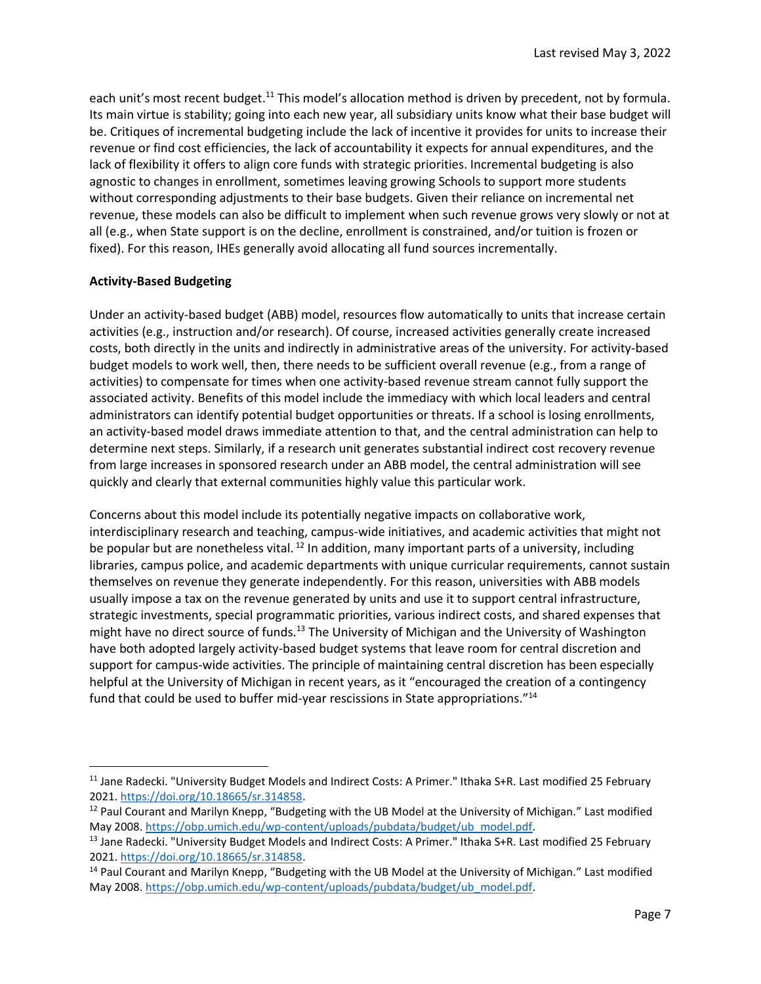each unit's most recent budget.<sup>11</sup> This model's allocation method is driven by precedent, not by formula. Its main virtue is stability; going into each new year, all subsidiary units know what their base budget will be. Critiques of incremental budgeting include the lack of incentive it provides for units to increase their revenue or find cost efficiencies, the lack of accountability it expects for annual expenditures, and the lack of flexibility it offers to align core funds with strategic priorities. Incremental budgeting is also agnostic to changes in enrollment, sometimes leaving growing Schools to support more students without corresponding adjustments to their base budgets. Given their reliance on incremental net revenue, these models can also be difficult to implement when such revenue grows very slowly or not at all (e.g., when State support is on the decline, enrollment is constrained, and/or tuition is frozen or fixed). For this reason, IHEs generally avoid allocating all fund sources incrementally.

## **Activity-Based Budgeting**

 $\overline{a}$ 

Under an activity-based budget (ABB) model, resources flow automatically to units that increase certain activities (e.g., instruction and/or research). Of course, increased activities generally create increased costs, both directly in the units and indirectly in administrative areas of the university. For activity-based budget models to work well, then, there needs to be sufficient overall revenue (e.g., from a range of activities) to compensate for times when one activity-based revenue stream cannot fully support the associated activity. Benefits of this model include the immediacy with which local leaders and central administrators can identify potential budget opportunities or threats. If a school is losing enrollments, an activity-based model draws immediate attention to that, and the central administration can help to determine next steps. Similarly, if a research unit generates substantial indirect cost recovery revenue from large increases in sponsored research under an ABB model, the central administration will see quickly and clearly that external communities highly value this particular work.

Concerns about this model include its potentially negative impacts on collaborative work, interdisciplinary research and teaching, campus-wide initiatives, and academic activities that might not be popular but are nonetheless vital.  $^{12}$  In addition, many important parts of a university, including libraries, campus police, and academic departments with unique curricular requirements, cannot sustain themselves on revenue they generate independently. For this reason, universities with ABB models usually impose a tax on the revenue generated by units and use it to support central infrastructure, strategic investments, special programmatic priorities, various indirect costs, and shared expenses that might have no direct source of funds.<sup>13</sup> The University of Michigan and the University of Washington have both adopted largely activity-based budget systems that leave room for central discretion and support for campus-wide activities. The principle of maintaining central discretion has been especially helpful at the University of Michigan in recent years, as it "encouraged the creation of a contingency fund that could be used to buffer mid-year rescissions in State appropriations."<sup>14</sup>

<sup>&</sup>lt;sup>11</sup> Jane Radecki. "University Budget Models and Indirect Costs: A Primer." Ithaka S+R. Last modified 25 February 2021. [https://doi.org/10.18665/sr.314858.](https://doi.org/10.18665/sr.314858) 

<sup>&</sup>lt;sup>12</sup> Paul Courant and Marilyn Knepp, "Budgeting with the UB Model at the University of Michigan." Last modified May 2008. [https://obp.umich.edu/wp-content/uploads/pubdata/budget/ub\\_model.pdf.](https://obp.umich.edu/wp-content/uploads/pubdata/budget/ub_model.pdf)

<sup>13</sup> Jane Radecki. "University Budget Models and Indirect Costs: A Primer." Ithaka S+R. Last modified 25 February 2021. [https://doi.org/10.18665/sr.314858.](https://doi.org/10.18665/sr.314858)

<sup>14</sup> Paul Courant and Marilyn Knepp, "Budgeting with the UB Model at the University of Michigan." Last modified May 2008. [https://obp.umich.edu/wp-content/uploads/pubdata/budget/ub\\_model.pdf.](https://obp.umich.edu/wp-content/uploads/pubdata/budget/ub_model.pdf)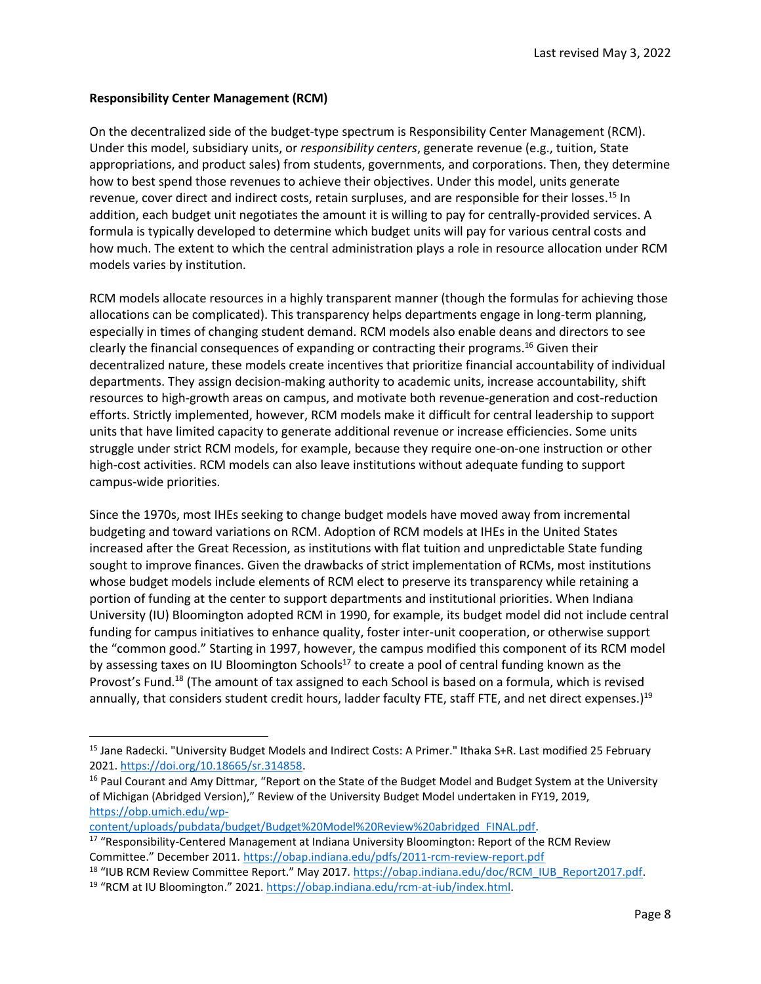# **Responsibility Center Management (RCM)**

On the decentralized side of the budget-type spectrum is Responsibility Center Management (RCM). Under this model, subsidiary units, or *responsibility centers*, generate revenue (e.g., tuition, State appropriations, and product sales) from students, governments, and corporations. Then, they determine how to best spend those revenues to achieve their objectives. Under this model, units generate revenue, cover direct and indirect costs, retain surpluses, and are responsible for their losses.<sup>15</sup> In addition, each budget unit negotiates the amount it is willing to pay for centrally-provided services. A formula is typically developed to determine which budget units will pay for various central costs and how much. The extent to which the central administration plays a role in resource allocation under RCM models varies by institution.

RCM models allocate resources in a highly transparent manner (though the formulas for achieving those allocations can be complicated). This transparency helps departments engage in long-term planning, especially in times of changing student demand. RCM models also enable deans and directors to see clearly the financial consequences of expanding or contracting their programs.<sup>16</sup> Given their decentralized nature, these models create incentives that prioritize financial accountability of individual departments. They assign decision-making authority to academic units, increase accountability, shift resources to high-growth areas on campus, and motivate both revenue-generation and cost-reduction efforts. Strictly implemented, however, RCM models make it difficult for central leadership to support units that have limited capacity to generate additional revenue or increase efficiencies. Some units struggle under strict RCM models, for example, because they require one-on-one instruction or other high-cost activities. RCM models can also leave institutions without adequate funding to support campus-wide priorities.

Since the 1970s, most IHEs seeking to change budget models have moved away from incremental budgeting and toward variations on RCM. Adoption of RCM models at IHEs in the United States increased after the Great Recession, as institutions with flat tuition and unpredictable State funding sought to improve finances. Given the drawbacks of strict implementation of RCMs, most institutions whose budget models include elements of RCM elect to preserve its transparency while retaining a portion of funding at the center to support departments and institutional priorities. When Indiana University (IU) Bloomington adopted RCM in 1990, for example, its budget model did not include central funding for campus initiatives to enhance quality, foster inter-unit cooperation, or otherwise support the "common good." Starting in 1997, however, the campus modified this component of its RCM model by assessing taxes on IU Bloomington Schools<sup>17</sup> to create a pool of central funding known as the Provost's Fund.<sup>18</sup> (The amount of tax assigned to each School is based on a formula, which is revised annually, that considers student credit hours, ladder faculty FTE, staff FTE, and net direct expenses.)<sup>19</sup>

[content/uploads/pubdata/budget/Budget%20Model%20Review%20abridged\\_FINAL.pdf.](https://obp.umich.edu/wp-content/uploads/pubdata/budget/Budget%20Model%20Review%20abridged_FINAL.pdf)

 $\overline{a}$ 

<sup>&</sup>lt;sup>15</sup> Jane Radecki. "University Budget Models and Indirect Costs: A Primer." Ithaka S+R. Last modified 25 February 2021. [https://doi.org/10.18665/sr.314858.](https://doi.org/10.18665/sr.314858)

<sup>&</sup>lt;sup>16</sup> Paul Courant and Amy Dittmar, "Report on the State of the Budget Model and Budget System at the University of Michigan (Abridged Version)," Review of the University Budget Model undertaken in FY19, 2019, [https://obp.umich.edu/wp-](https://obp.umich.edu/wp-content/uploads/pubdata/budget/Budget%20Model%20Review%20abridged_FINAL.pdf)

<sup>&</sup>lt;sup>17</sup> "Responsibility-Centered Management at Indiana University Bloomington: Report of the RCM Review Committee." December 2011. <https://obap.indiana.edu/pdfs/2011-rcm-review-report.pdf>

<sup>&</sup>lt;sup>18</sup> "IUB RCM Review Committee Report." May 2017. https://obap.indiana.edu/doc/RCM\_IUB\_Report2017.pdf. <sup>19</sup> "RCM at IU Bloomington." 2021. [https://obap.indiana.edu/rcm-at-iub/index.html.](https://obap.indiana.edu/rcm-at-iub/index.html)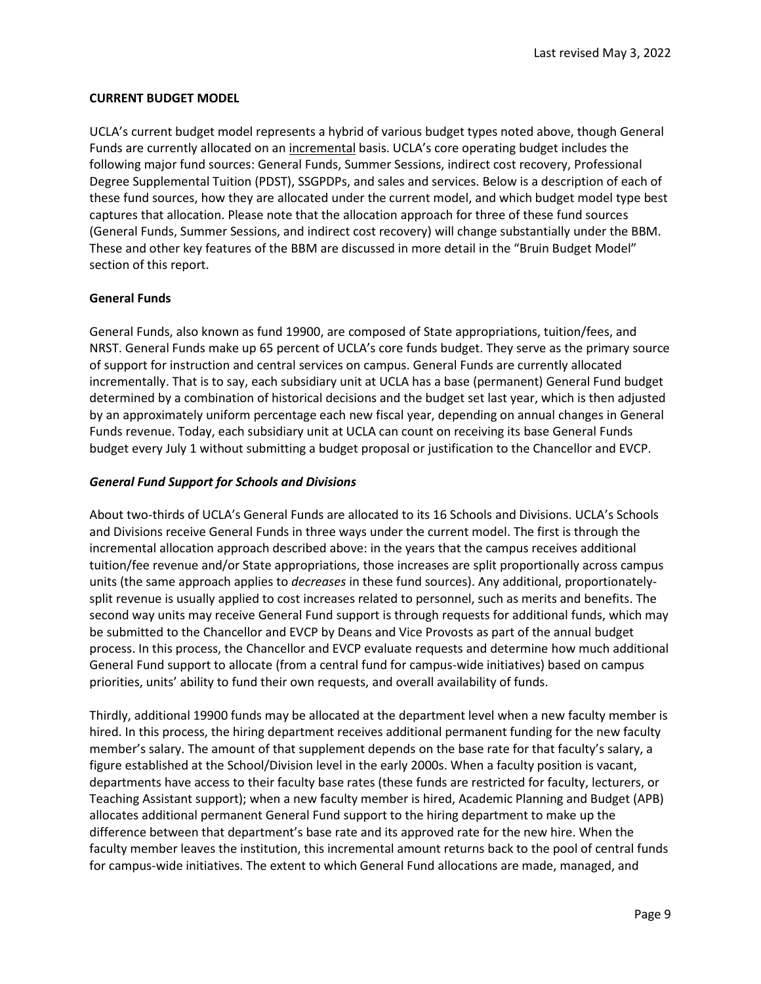### **CURRENT BUDGET MODEL**

UCLA's current budget model represents a hybrid of various budget types noted above, though General Funds are currently allocated on an incremental basis. UCLA's core operating budget includes the following major fund sources: General Funds, Summer Sessions, indirect cost recovery, Professional Degree Supplemental Tuition (PDST), SSGPDPs, and sales and services. Below is a description of each of these fund sources, how they are allocated under the current model, and which budget model type best captures that allocation. Please note that the allocation approach for three of these fund sources (General Funds, Summer Sessions, and indirect cost recovery) will change substantially under the BBM. These and other key features of the BBM are discussed in more detail in the "Bruin Budget Model" section of this report.

#### **General Funds**

General Funds, also known as fund 19900, are composed of State appropriations, tuition/fees, and NRST. General Funds make up 65 percent of UCLA's core funds budget. They serve as the primary source of support for instruction and central services on campus. General Funds are currently allocated incrementally. That is to say, each subsidiary unit at UCLA has a base (permanent) General Fund budget determined by a combination of historical decisions and the budget set last year, which is then adjusted by an approximately uniform percentage each new fiscal year, depending on annual changes in General Funds revenue. Today, each subsidiary unit at UCLA can count on receiving its base General Funds budget every July 1 without submitting a budget proposal or justification to the Chancellor and EVCP.

#### *General Fund Support for Schools and Divisions*

About two-thirds of UCLA's General Funds are allocated to its 16 Schools and Divisions. UCLA's Schools and Divisions receive General Funds in three ways under the current model. The first is through the incremental allocation approach described above: in the years that the campus receives additional tuition/fee revenue and/or State appropriations, those increases are split proportionally across campus units (the same approach applies to *decreases* in these fund sources). Any additional, proportionatelysplit revenue is usually applied to cost increases related to personnel, such as merits and benefits. The second way units may receive General Fund support is through requests for additional funds, which may be submitted to the Chancellor and EVCP by Deans and Vice Provosts as part of the annual budget process. In this process, the Chancellor and EVCP evaluate requests and determine how much additional General Fund support to allocate (from a central fund for campus-wide initiatives) based on campus priorities, units' ability to fund their own requests, and overall availability of funds.

Thirdly, additional 19900 funds may be allocated at the department level when a new faculty member is hired. In this process, the hiring department receives additional permanent funding for the new faculty member's salary. The amount of that supplement depends on the base rate for that faculty's salary, a figure established at the School/Division level in the early 2000s. When a faculty position is vacant, departments have access to their faculty base rates (these funds are restricted for faculty, lecturers, or Teaching Assistant support); when a new faculty member is hired, Academic Planning and Budget (APB) allocates additional permanent General Fund support to the hiring department to make up the difference between that department's base rate and its approved rate for the new hire. When the faculty member leaves the institution, this incremental amount returns back to the pool of central funds for campus-wide initiatives. The extent to which General Fund allocations are made, managed, and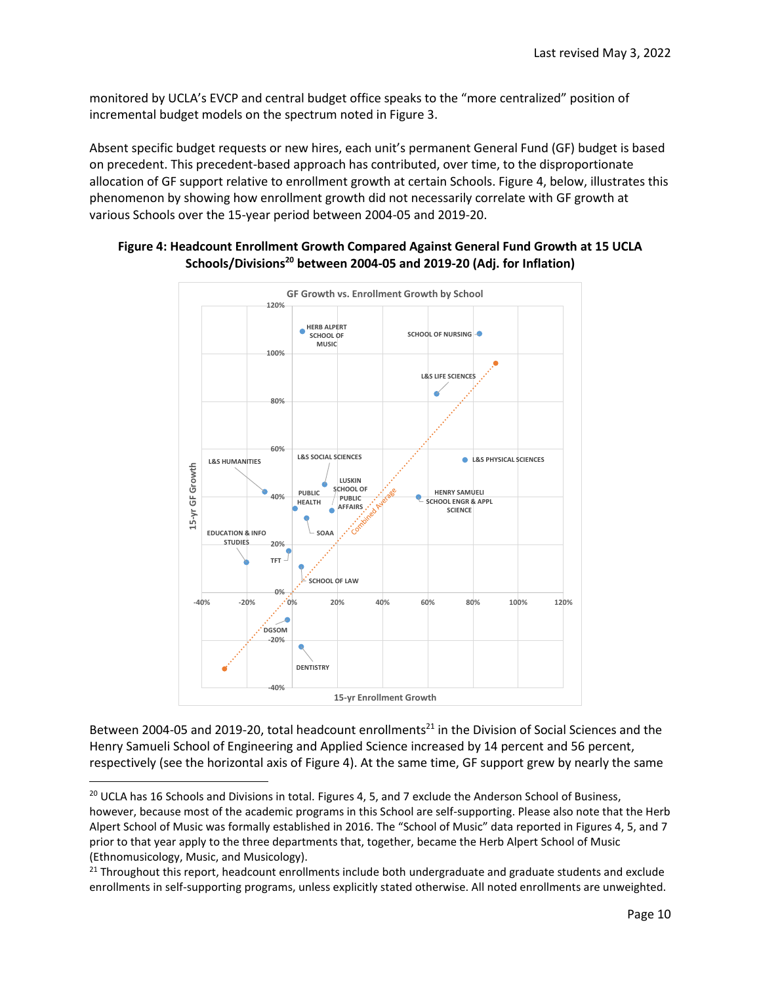monitored by UCLA's EVCP and central budget office speaks to the "more centralized" position of incremental budget models on the spectrum noted in Figure 3.

Absent specific budget requests or new hires, each unit's permanent General Fund (GF) budget is based on precedent. This precedent-based approach has contributed, over time, to the disproportionate allocation of GF support relative to enrollment growth at certain Schools. Figure 4, below, illustrates this phenomenon by showing how enrollment growth did not necessarily correlate with GF growth at various Schools over the 15-year period between 2004-05 and 2019-20.



# **Figure 4: Headcount Enrollment Growth Compared Against General Fund Growth at 15 UCLA Schools/Divisions<sup>20</sup> between 2004-05 and 2019-20 (Adj. for Inflation)**

Between 2004-05 and 2019-20, total headcount enrollments<sup>21</sup> in the Division of Social Sciences and the Henry Samueli School of Engineering and Applied Science increased by 14 percent and 56 percent, respectively (see the horizontal axis of Figure 4). At the same time, GF support grew by nearly the same

 $\overline{\phantom{a}}$ 

<sup>&</sup>lt;sup>20</sup> UCLA has 16 Schools and Divisions in total. Figures 4, 5, and 7 exclude the Anderson School of Business, however, because most of the academic programs in this School are self-supporting. Please also note that the Herb Alpert School of Music was formally established in 2016. The "School of Music" data reported in Figures 4, 5, and 7 prior to that year apply to the three departments that, together, became the Herb Alpert School of Music (Ethnomusicology, Music, and Musicology).

 $21$  Throughout this report, headcount enrollments include both undergraduate and graduate students and exclude enrollments in self-supporting programs, unless explicitly stated otherwise. All noted enrollments are unweighted.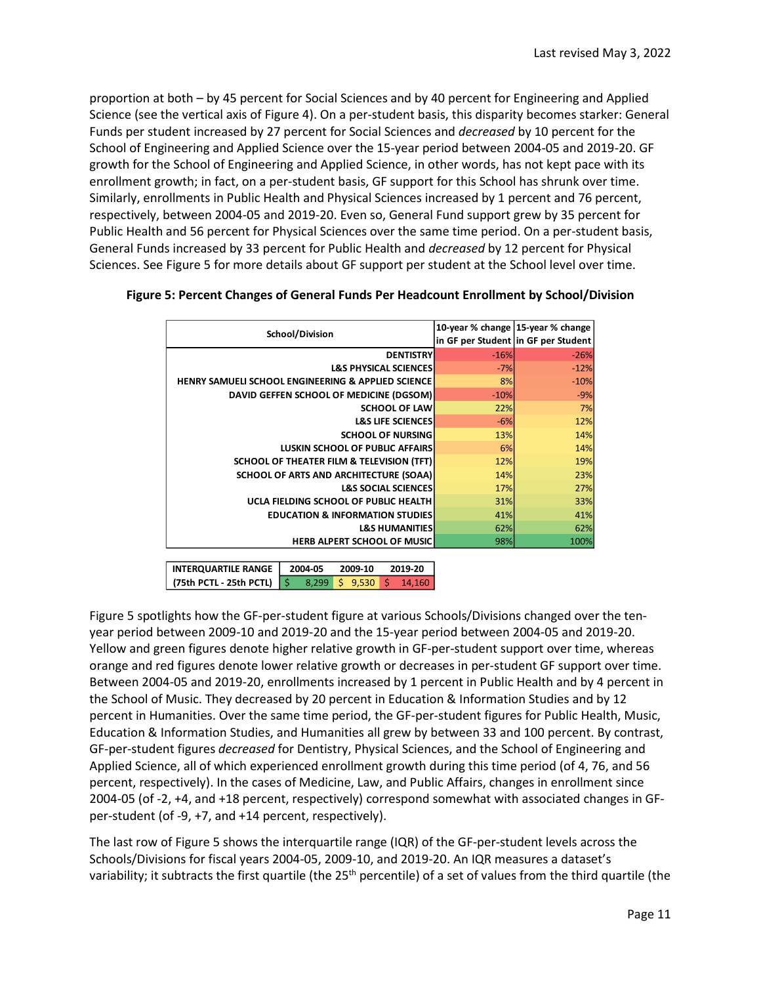proportion at both – by 45 percent for Social Sciences and by 40 percent for Engineering and Applied Science (see the vertical axis of Figure 4). On a per-student basis, this disparity becomes starker: General Funds per student increased by 27 percent for Social Sciences and *decreased* by 10 percent for the School of Engineering and Applied Science over the 15-year period between 2004-05 and 2019-20. GF growth for the School of Engineering and Applied Science, in other words, has not kept pace with its enrollment growth; in fact, on a per-student basis, GF support for this School has shrunk over time. Similarly, enrollments in Public Health and Physical Sciences increased by 1 percent and 76 percent, respectively, between 2004-05 and 2019-20. Even so, General Fund support grew by 35 percent for Public Health and 56 percent for Physical Sciences over the same time period. On a per-student basis, General Funds increased by 33 percent for Public Health and *decreased* by 12 percent for Physical Sciences. See Figure 5 for more details about GF support per student at the School level over time.

| School/Division<br><b>DENTISTRY</b><br><b>L&amp;S PHYSICAL SCIENCES</b><br><b>HENRY SAMUELI SCHOOL ENGINEERING &amp; APPLIED SCIENCE</b><br>DAVID GEFFEN SCHOOL OF MEDICINE (DGSOM) | $-16%$<br>$-7%$<br>8%<br>$-10%$ | in GF per Student in GF per Student |
|-------------------------------------------------------------------------------------------------------------------------------------------------------------------------------------|---------------------------------|-------------------------------------|
|                                                                                                                                                                                     |                                 | $-26%$<br>$-12%$<br>$-10%$          |
|                                                                                                                                                                                     |                                 |                                     |
|                                                                                                                                                                                     |                                 |                                     |
|                                                                                                                                                                                     |                                 |                                     |
|                                                                                                                                                                                     |                                 | $-9%$                               |
| <b>SCHOOL OF LAW</b>                                                                                                                                                                | 22%                             | 7%                                  |
| <b>L&amp;S LIFE SCIENCES</b>                                                                                                                                                        | $-6%$                           | 12%                                 |
| <b>SCHOOL OF NURSING</b>                                                                                                                                                            | <b>13%</b>                      | 14%                                 |
| <b>LUSKIN SCHOOL OF PUBLIC AFFAIRS</b>                                                                                                                                              | <b>6%</b>                       | 14%                                 |
| <b>SCHOOL OF THEATER FILM &amp; TELEVISION (TFT)</b>                                                                                                                                | <b>12%</b>                      | 19%                                 |
| SCHOOL OF ARTS AND ARCHITECTURE (SOAA)                                                                                                                                              | <b>14%</b>                      | 23%                                 |
| <b>L&amp;S SOCIAL SCIENCES</b>                                                                                                                                                      | <b>17%</b>                      | 27%                                 |
| UCLA FIELDING SCHOOL OF PUBLIC HEALTH                                                                                                                                               | 31%                             | 33%                                 |
| <b>EDUCATION &amp; INFORMATION STUDIES</b>                                                                                                                                          | 41%                             | 41%                                 |
| <b>L&amp;S HUMANITIES</b>                                                                                                                                                           | 62%                             | 62%                                 |
| <b>HERB ALPERT SCHOOL OF MUSIC</b>                                                                                                                                                  | 98%                             | 100%                                |

### **Figure 5: Percent Changes of General Funds Per Headcount Enrollment by School/Division**

**2004-05 2009-10 2019-20** \$ 8,299 \$ 9,530 \$ 14,160 **INTERQUARTILE RANGE (75th PCTL - 25th PCTL)**

Figure 5 spotlights how the GF-per-student figure at various Schools/Divisions changed over the tenyear period between 2009-10 and 2019-20 and the 15-year period between 2004-05 and 2019-20. Yellow and green figures denote higher relative growth in GF-per-student support over time, whereas orange and red figures denote lower relative growth or decreases in per-student GF support over time. Between 2004-05 and 2019-20, enrollments increased by 1 percent in Public Health and by 4 percent in the School of Music. They decreased by 20 percent in Education & Information Studies and by 12 percent in Humanities. Over the same time period, the GF-per-student figures for Public Health, Music, Education & Information Studies, and Humanities all grew by between 33 and 100 percent. By contrast, GF-per-student figures *decreased* for Dentistry, Physical Sciences, and the School of Engineering and Applied Science, all of which experienced enrollment growth during this time period (of 4, 76, and 56 percent, respectively). In the cases of Medicine, Law, and Public Affairs, changes in enrollment since 2004-05 (of -2, +4, and +18 percent, respectively) correspond somewhat with associated changes in GFper-student (of -9, +7, and +14 percent, respectively).

The last row of Figure 5 shows the interquartile range (IQR) of the GF-per-student levels across the Schools/Divisions for fiscal years 2004-05, 2009-10, and 2019-20. An IQR measures a dataset's variability; it subtracts the first quartile (the 25<sup>th</sup> percentile) of a set of values from the third quartile (the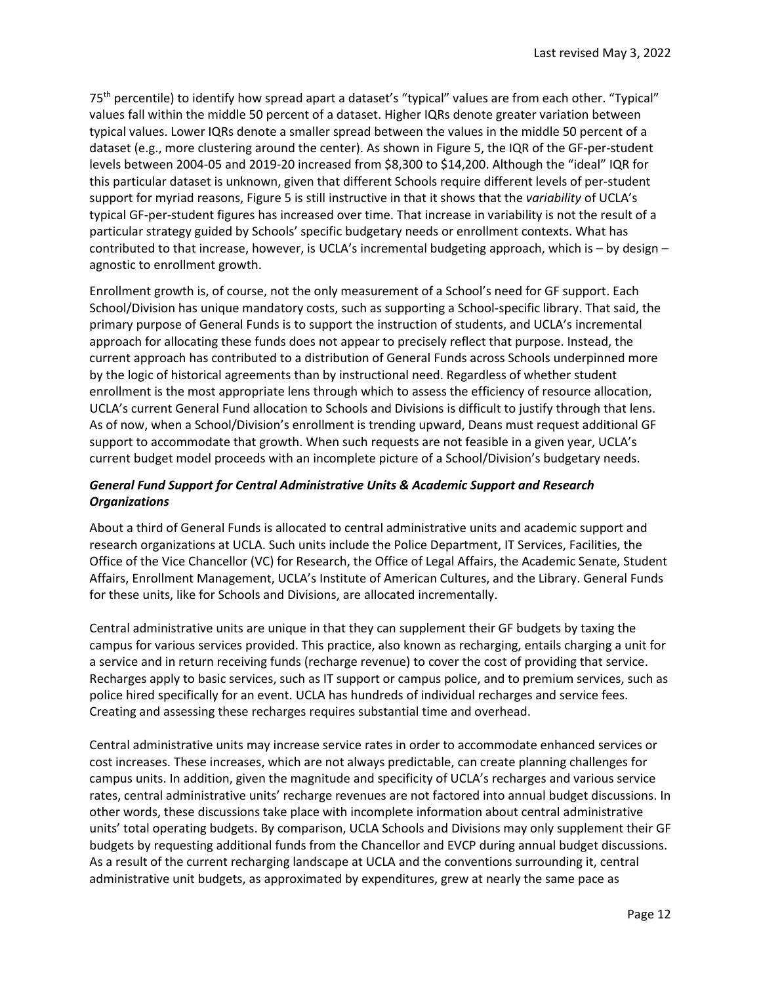75<sup>th</sup> percentile) to identify how spread apart a dataset's "typical" values are from each other. "Typical" values fall within the middle 50 percent of a dataset. Higher IQRs denote greater variation between typical values. Lower IQRs denote a smaller spread between the values in the middle 50 percent of a dataset (e.g., more clustering around the center). As shown in Figure 5, the IQR of the GF-per-student levels between 2004-05 and 2019-20 increased from \$8,300 to \$14,200. Although the "ideal" IQR for this particular dataset is unknown, given that different Schools require different levels of per-student support for myriad reasons, Figure 5 is still instructive in that it shows that the *variability* of UCLA's typical GF-per-student figures has increased over time. That increase in variability is not the result of a particular strategy guided by Schools' specific budgetary needs or enrollment contexts. What has contributed to that increase, however, is UCLA's incremental budgeting approach, which is – by design – agnostic to enrollment growth.

Enrollment growth is, of course, not the only measurement of a School's need for GF support. Each School/Division has unique mandatory costs, such as supporting a School-specific library. That said, the primary purpose of General Funds is to support the instruction of students, and UCLA's incremental approach for allocating these funds does not appear to precisely reflect that purpose. Instead, the current approach has contributed to a distribution of General Funds across Schools underpinned more by the logic of historical agreements than by instructional need. Regardless of whether student enrollment is the most appropriate lens through which to assess the efficiency of resource allocation, UCLA's current General Fund allocation to Schools and Divisions is difficult to justify through that lens. As of now, when a School/Division's enrollment is trending upward, Deans must request additional GF support to accommodate that growth. When such requests are not feasible in a given year, UCLA's current budget model proceeds with an incomplete picture of a School/Division's budgetary needs.

# *General Fund Support for Central Administrative Units & Academic Support and Research Organizations*

About a third of General Funds is allocated to central administrative units and academic support and research organizations at UCLA. Such units include the Police Department, IT Services, Facilities, the Office of the Vice Chancellor (VC) for Research, the Office of Legal Affairs, the Academic Senate, Student Affairs, Enrollment Management, UCLA's Institute of American Cultures, and the Library. General Funds for these units, like for Schools and Divisions, are allocated incrementally.

Central administrative units are unique in that they can supplement their GF budgets by taxing the campus for various services provided. This practice, also known as recharging, entails charging a unit for a service and in return receiving funds (recharge revenue) to cover the cost of providing that service. Recharges apply to basic services, such as IT support or campus police, and to premium services, such as police hired specifically for an event. UCLA has hundreds of individual recharges and service fees. Creating and assessing these recharges requires substantial time and overhead.

Central administrative units may increase service rates in order to accommodate enhanced services or cost increases. These increases, which are not always predictable, can create planning challenges for campus units. In addition, given the magnitude and specificity of UCLA's recharges and various service rates, central administrative units' recharge revenues are not factored into annual budget discussions. In other words, these discussions take place with incomplete information about central administrative units' total operating budgets. By comparison, UCLA Schools and Divisions may only supplement their GF budgets by requesting additional funds from the Chancellor and EVCP during annual budget discussions. As a result of the current recharging landscape at UCLA and the conventions surrounding it, central administrative unit budgets, as approximated by expenditures, grew at nearly the same pace as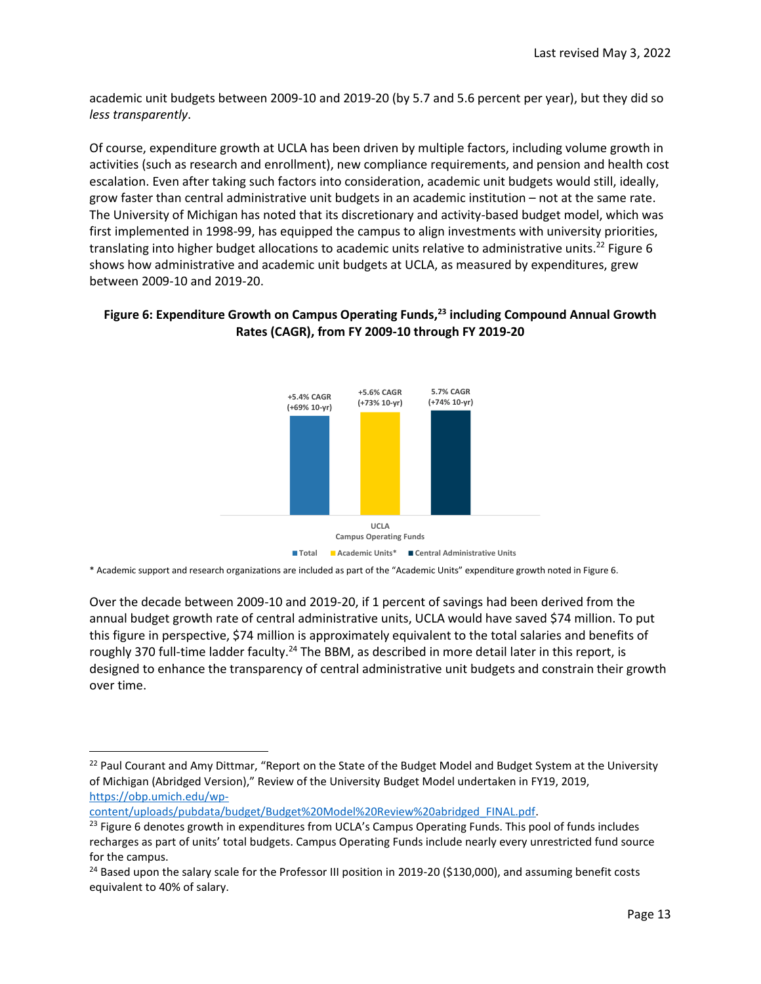academic unit budgets between 2009-10 and 2019-20 (by 5.7 and 5.6 percent per year), but they did so *less transparently*.

Of course, expenditure growth at UCLA has been driven by multiple factors, including volume growth in activities (such as research and enrollment), new compliance requirements, and pension and health cost escalation. Even after taking such factors into consideration, academic unit budgets would still, ideally, grow faster than central administrative unit budgets in an academic institution – not at the same rate. The University of Michigan has noted that its discretionary and activity-based budget model, which was first implemented in 1998-99, has equipped the campus to align investments with university priorities, translating into higher budget allocations to academic units relative to administrative units.<sup>22</sup> Figure 6 shows how administrative and academic unit budgets at UCLA, as measured by expenditures, grew between 2009-10 and 2019-20.

# **Figure 6: Expenditure Growth on Campus Operating Funds, <sup>23</sup> including Compound Annual Growth Rates (CAGR), from FY 2009-10 through FY 2019-20**



\* Academic support and research organizations are included as part of the "Academic Units" expenditure growth noted in Figure 6.

Over the decade between 2009-10 and 2019-20, if 1 percent of savings had been derived from the annual budget growth rate of central administrative units, UCLA would have saved \$74 million. To put this figure in perspective, \$74 million is approximately equivalent to the total salaries and benefits of roughly 370 full-time ladder faculty.<sup>24</sup> The BBM, as described in more detail later in this report, is designed to enhance the transparency of central administrative unit budgets and constrain their growth over time.

 $\overline{\phantom{a}}$ 

<sup>&</sup>lt;sup>22</sup> Paul Courant and Amy Dittmar, "Report on the State of the Budget Model and Budget System at the University of Michigan (Abridged Version)," Review of the University Budget Model undertaken in FY19, 2019, [https://obp.umich.edu/wp-](https://obp.umich.edu/wp-content/uploads/pubdata/budget/Budget%20Model%20Review%20abridged_FINAL.pdf)

[content/uploads/pubdata/budget/Budget%20Model%20Review%20abridged\\_FINAL.pdf.](https://obp.umich.edu/wp-content/uploads/pubdata/budget/Budget%20Model%20Review%20abridged_FINAL.pdf)

<sup>&</sup>lt;sup>23</sup> Figure 6 denotes growth in expenditures from UCLA's Campus Operating Funds. This pool of funds includes recharges as part of units' total budgets. Campus Operating Funds include nearly every unrestricted fund source for the campus.

 $24$  Based upon the salary scale for the Professor III position in 2019-20 (\$130,000), and assuming benefit costs equivalent to 40% of salary.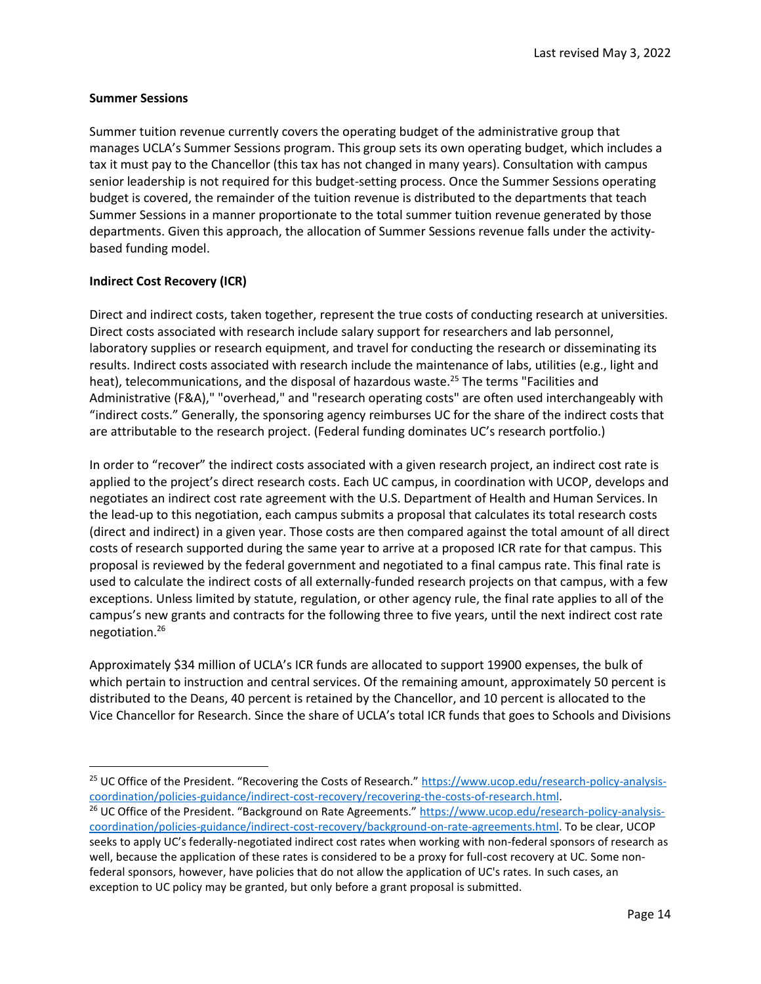#### **Summer Sessions**

Summer tuition revenue currently covers the operating budget of the administrative group that manages UCLA's Summer Sessions program. This group sets its own operating budget, which includes a tax it must pay to the Chancellor (this tax has not changed in many years). Consultation with campus senior leadership is not required for this budget-setting process. Once the Summer Sessions operating budget is covered, the remainder of the tuition revenue is distributed to the departments that teach Summer Sessions in a manner proportionate to the total summer tuition revenue generated by those departments. Given this approach, the allocation of Summer Sessions revenue falls under the activitybased funding model.

### **Indirect Cost Recovery (ICR)**

 $\overline{a}$ 

Direct and indirect costs, taken together, represent the true costs of conducting research at universities. Direct costs associated with research include salary support for researchers and lab personnel, laboratory supplies or research equipment, and travel for conducting the research or disseminating its results. Indirect costs associated with research include the maintenance of labs, utilities (e.g., light and heat), telecommunications, and the disposal of hazardous waste.<sup>25</sup> The terms "Facilities and Administrative (F&A)," "overhead," and "research operating costs" are often used interchangeably with "indirect costs." Generally, the sponsoring agency reimburses UC for the share of the indirect costs that are attributable to the research project. (Federal funding dominates UC's research portfolio.)

In order to "recover" the indirect costs associated with a given research project, an indirect cost rate is applied to the project's direct research costs. Each UC campus, in coordination with UCOP, develops and negotiates an [indirect cost rate agreement](http://www.ucop.edu/financial-accounting/resources/facilities-administration-rates.html) with the U.S. Department of Health and Human Services. In the lead-up to this negotiation, each campus submits a proposal that calculates its total research costs (direct and indirect) in a given year. Those costs are then compared against the total amount of all direct costs of research supported during the same year to arrive at a proposed ICR rate for that campus. This proposal is reviewed by the federal government and negotiated to a final campus rate. This final rate is used to calculate the indirect costs of all externally-funded research projects on that campus, with a few exceptions. Unless limited by statute, regulation, or other agency rule, the final rate applies to all of the campus's new grants and contracts for the following three to five years, until the next indirect cost rate negotiation.<sup>26</sup>

Approximately \$34 million of UCLA's ICR funds are allocated to support 19900 expenses, the bulk of which pertain to instruction and central services. Of the remaining amount, approximately 50 percent is distributed to the Deans, 40 percent is retained by the Chancellor, and 10 percent is allocated to the Vice Chancellor for Research. Since the share of UCLA's total ICR funds that goes to Schools and Divisions

<sup>&</sup>lt;sup>25</sup> UC Office of the President. "Recovering the Costs of Research." [https://www.ucop.edu/research-policy-analysis](https://www.ucop.edu/research-policy-analysis-coordination/policies-guidance/indirect-cost-recovery/recovering-the-costs-of-research.html)[coordination/policies-guidance/indirect-cost-recovery/recovering-the-costs-of-research.html.](https://www.ucop.edu/research-policy-analysis-coordination/policies-guidance/indirect-cost-recovery/recovering-the-costs-of-research.html) <sup>26</sup> UC Office of the President. "Background on Rate Agreements." [https://www.ucop.edu/research-policy-analysis](https://www.ucop.edu/research-policy-analysis-coordination/policies-guidance/indirect-cost-recovery/background-on-rate-agreements.html)[coordination/policies-guidance/indirect-cost-recovery/background-on-rate-agreements.html.](https://www.ucop.edu/research-policy-analysis-coordination/policies-guidance/indirect-cost-recovery/background-on-rate-agreements.html) To be clear, UCOP seeks to apply UC's federally-negotiated indirect cost rates when working with non-federal sponsors of research as well, because the application of these rates is considered to be a proxy for full-cost recovery at UC. Some nonfederal sponsors, however, have policies that do not allow the application of UC's rates. In such cases, an exception to UC policy may be granted, but only before a grant proposal is submitted.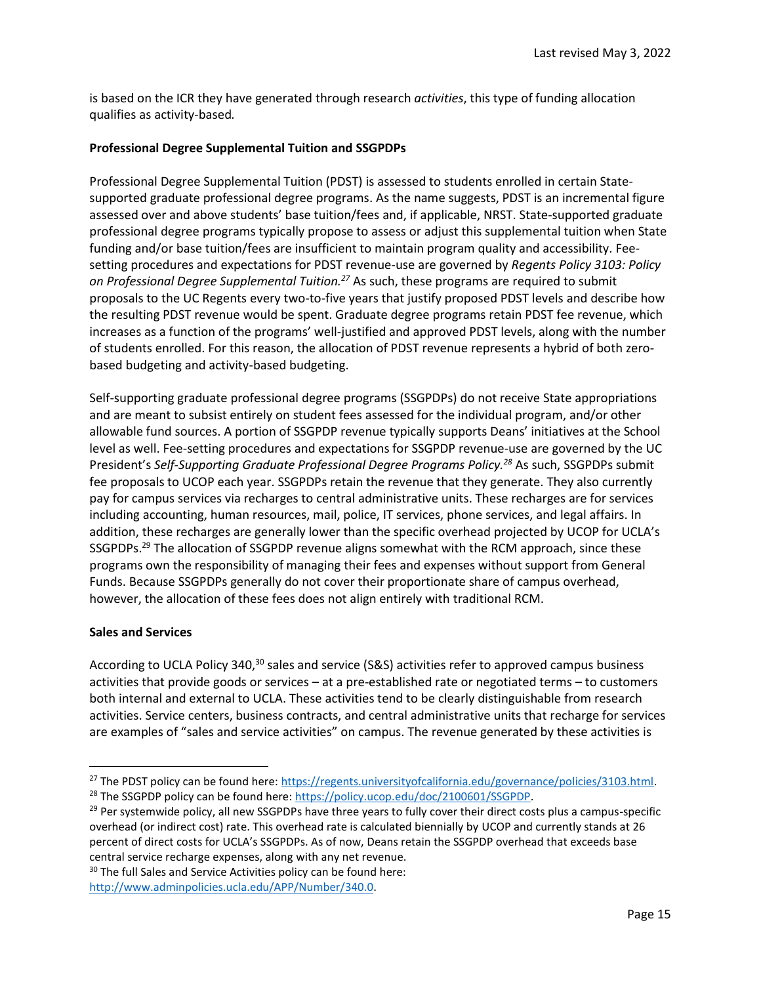is based on the ICR they have generated through research *activities*, this type of funding allocation qualifies as activity-based*.*

### **Professional Degree Supplemental Tuition and SSGPDPs**

Professional Degree Supplemental Tuition (PDST) is assessed to students enrolled in certain Statesupported graduate professional degree programs. As the name suggests, PDST is an incremental figure assessed over and above students' base tuition/fees and, if applicable, NRST. State-supported graduate professional degree programs typically propose to assess or adjust this supplemental tuition when State funding and/or base tuition/fees are insufficient to maintain program quality and accessibility. Feesetting procedures and expectations for PDST revenue-use are governed by *Regents Policy 3103: Policy on Professional Degree Supplemental Tuition.<sup>27</sup>* As such, these programs are required to submit proposals to the UC Regents every two-to-five years that justify proposed PDST levels and describe how the resulting PDST revenue would be spent. Graduate degree programs retain PDST fee revenue, which increases as a function of the programs' well-justified and approved PDST levels, along with the number of students enrolled. For this reason, the allocation of PDST revenue represents a hybrid of both zerobased budgeting and activity-based budgeting.

Self-supporting graduate professional degree programs (SSGPDPs) do not receive State appropriations and are meant to subsist entirely on student fees assessed for the individual program, and/or other allowable fund sources. A portion of SSGPDP revenue typically supports Deans' initiatives at the School level as well. Fee-setting procedures and expectations for SSGPDP revenue-use are governed by the UC President's *Self-Supporting Graduate Professional Degree Programs Policy.<sup>28</sup>* As such, SSGPDPs submit fee proposals to UCOP each year. SSGPDPs retain the revenue that they generate. They also currently pay for campus services via recharges to central administrative units. These recharges are for services including accounting, human resources, mail, police, IT services, phone services, and legal affairs. In addition, these recharges are generally lower than the specific overhead projected by UCOP for UCLA's SSGPDPs.<sup>29</sup> The allocation of SSGPDP revenue aligns somewhat with the RCM approach, since these programs own the responsibility of managing their fees and expenses without support from General Funds. Because SSGPDPs generally do not cover their proportionate share of campus overhead, however, the allocation of these fees does not align entirely with traditional RCM.

### **Sales and Services**

 $\overline{a}$ 

According to UCLA Policy 340,<sup>30</sup> sales and service (S&S) activities refer to approved campus business activities that provide goods or services – at a pre-established rate or negotiated terms – to customers both internal and external to UCLA. These activities tend to be clearly distinguishable from research activities. Service centers, business contracts, and central administrative units that recharge for services are examples of "sales and service activities" on campus. The revenue generated by these activities is

 $30$  The full Sales and Service Activities policy can be found here:

<sup>&</sup>lt;sup>27</sup> The PDST policy can be found here: https://regents.universityofcalifornia.edu/governance/policies/3103.html. <sup>28</sup> The SSGPDP policy can be found here[: https://policy.ucop.edu/doc/2100601/SSGPDP.](https://policy.ucop.edu/doc/2100601/SSGPDP) 

 $29$  Per systemwide policy, all new SSGPDPs have three years to fully cover their direct costs plus a campus-specific overhead (or indirect cost) rate. This overhead rate is calculated biennially by UCOP and currently stands at 26 percent of direct costs for UCLA's SSGPDPs. As of now, Deans retain the SSGPDP overhead that exceeds base central service recharge expenses, along with any net revenue.

[http://www.adminpolicies.ucla.edu/APP/Number/340.0.](http://www.adminpolicies.ucla.edu/APP/Number/340.0)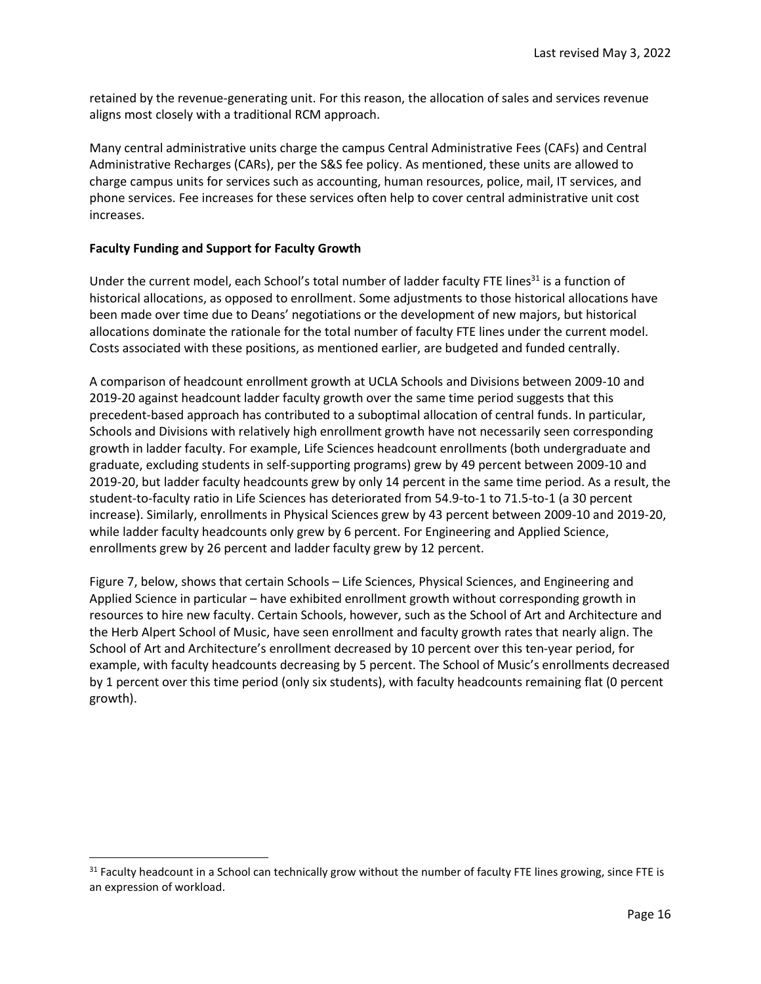retained by the revenue-generating unit. For this reason, the allocation of sales and services revenue aligns most closely with a traditional RCM approach.

Many central administrative units charge the campus Central Administrative Fees (CAFs) and Central Administrative Recharges (CARs), per the S&S fee policy. As mentioned, these units are allowed to charge campus units for services such as accounting, human resources, police, mail, IT services, and phone services. Fee increases for these services often help to cover central administrative unit cost increases.

#### **Faculty Funding and Support for Faculty Growth**

 $\overline{\phantom{a}}$ 

Under the current model, each School's total number of ladder faculty FTE lines<sup>31</sup> is a function of historical allocations, as opposed to enrollment. Some adjustments to those historical allocations have been made over time due to Deans' negotiations or the development of new majors, but historical allocations dominate the rationale for the total number of faculty FTE lines under the current model. Costs associated with these positions, as mentioned earlier, are budgeted and funded centrally.

A comparison of headcount enrollment growth at UCLA Schools and Divisions between 2009-10 and 2019-20 against headcount ladder faculty growth over the same time period suggests that this precedent-based approach has contributed to a suboptimal allocation of central funds. In particular, Schools and Divisions with relatively high enrollment growth have not necessarily seen corresponding growth in ladder faculty. For example, Life Sciences headcount enrollments (both undergraduate and graduate, excluding students in self-supporting programs) grew by 49 percent between 2009-10 and 2019-20, but ladder faculty headcounts grew by only 14 percent in the same time period. As a result, the student-to-faculty ratio in Life Sciences has deteriorated from 54.9-to-1 to 71.5-to-1 (a 30 percent increase). Similarly, enrollments in Physical Sciences grew by 43 percent between 2009-10 and 2019-20, while ladder faculty headcounts only grew by 6 percent. For Engineering and Applied Science, enrollments grew by 26 percent and ladder faculty grew by 12 percent.

Figure 7, below, shows that certain Schools – Life Sciences, Physical Sciences, and Engineering and Applied Science in particular – have exhibited enrollment growth without corresponding growth in resources to hire new faculty. Certain Schools, however, such as the School of Art and Architecture and the Herb Alpert School of Music, have seen enrollment and faculty growth rates that nearly align. The School of Art and Architecture's enrollment decreased by 10 percent over this ten-year period, for example, with faculty headcounts decreasing by 5 percent. The School of Music's enrollments decreased by 1 percent over this time period (only six students), with faculty headcounts remaining flat (0 percent growth).

 $31$  Faculty headcount in a School can technically grow without the number of faculty FTE lines growing, since FTE is an expression of workload.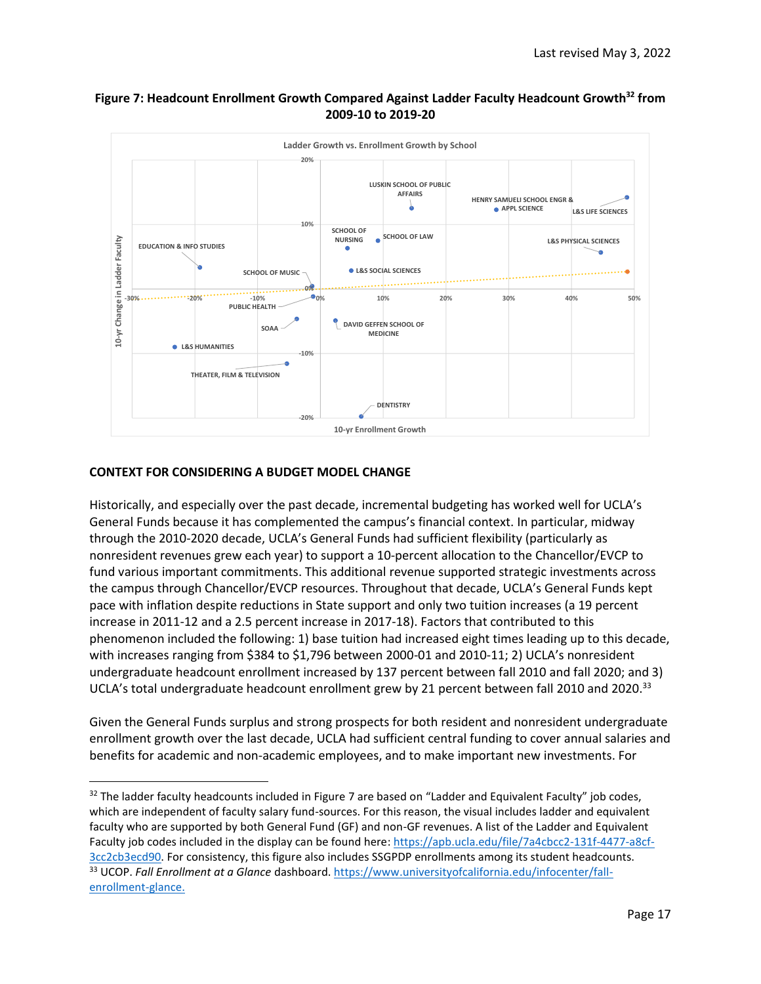



### **CONTEXT FOR CONSIDERING A BUDGET MODEL CHANGE**

 $\overline{\phantom{a}}$ 

Historically, and especially over the past decade, incremental budgeting has worked well for UCLA's General Funds because it has complemented the campus's financial context. In particular, midway through the 2010-2020 decade, UCLA's General Funds had sufficient flexibility (particularly as nonresident revenues grew each year) to support a 10-percent allocation to the Chancellor/EVCP to fund various important commitments. This additional revenue supported strategic investments across the campus through Chancellor/EVCP resources. Throughout that decade, UCLA's General Funds kept pace with inflation despite reductions in State support and only two tuition increases (a 19 percent increase in 2011-12 and a 2.5 percent increase in 2017-18). Factors that contributed to this phenomenon included the following: 1) base tuition had increased eight times leading up to this decade, with increases ranging from \$384 to \$1,796 between 2000-01 and 2010-11; 2) UCLA's nonresident undergraduate headcount enrollment increased by 137 percent between fall 2010 and fall 2020; and 3) UCLA's total undergraduate headcount enrollment grew by 21 percent between fall 2010 and 2020.<sup>33</sup>

Given the General Funds surplus and strong prospects for both resident and nonresident undergraduate enrollment growth over the last decade, UCLA had sufficient central funding to cover annual salaries and benefits for academic and non-academic employees, and to make important new investments. For

<sup>32</sup> The ladder faculty headcounts included in Figure 7 are based on "Ladder and Equivalent Faculty" job codes, which are independent of faculty salary fund-sources. For this reason, the visual includes ladder and equivalent faculty who are supported by both General Fund (GF) and non-GF revenues. A list of the Ladder and Equivalent Faculty job codes included in the display can be found here[: https://apb.ucla.edu/file/7a4cbcc2-131f-4477-a8cf-](https://apb.ucla.edu/file/7a4cbcc2-131f-4477-a8cf-3cc2cb3ecd90)[3cc2cb3ecd90.](https://apb.ucla.edu/file/7a4cbcc2-131f-4477-a8cf-3cc2cb3ecd90) For consistency, this figure also includes SSGPDP enrollments among its student headcounts. <sup>33</sup> UCOP. *Fall Enrollment at a Glance* dashboard[. https://www.universityofcalifornia.edu/infocenter/fall](https://www.universityofcalifornia.edu/infocenter/fall-enrollment-glance)[enrollment-glance.](https://www.universityofcalifornia.edu/infocenter/fall-enrollment-glance)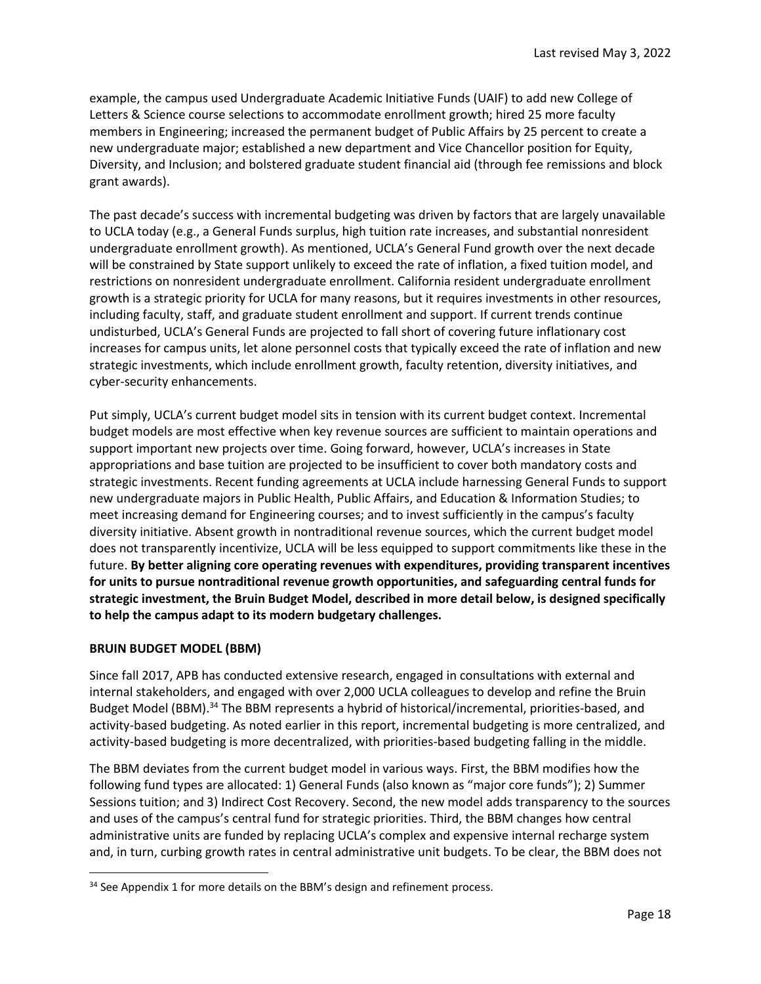example, the campus used Undergraduate Academic Initiative Funds (UAIF) to add new College of Letters & Science course selections to accommodate enrollment growth; hired 25 more faculty members in Engineering; increased the permanent budget of Public Affairs by 25 percent to create a new undergraduate major; established a new department and Vice Chancellor position for Equity, Diversity, and Inclusion; and bolstered graduate student financial aid (through fee remissions and block grant awards).

The past decade's success with incremental budgeting was driven by factors that are largely unavailable to UCLA today (e.g., a General Funds surplus, high tuition rate increases, and substantial nonresident undergraduate enrollment growth). As mentioned, UCLA's General Fund growth over the next decade will be constrained by State support unlikely to exceed the rate of inflation, a fixed tuition model, and restrictions on nonresident undergraduate enrollment. California resident undergraduate enrollment growth is a strategic priority for UCLA for many reasons, but it requires investments in other resources, including faculty, staff, and graduate student enrollment and support. If current trends continue undisturbed, UCLA's General Funds are projected to fall short of covering future inflationary cost increases for campus units, let alone personnel costs that typically exceed the rate of inflation and new strategic investments, which include enrollment growth, faculty retention, diversity initiatives, and cyber-security enhancements.

Put simply, UCLA's current budget model sits in tension with its current budget context. Incremental budget models are most effective when key revenue sources are sufficient to maintain operations and support important new projects over time. Going forward, however, UCLA's increases in State appropriations and base tuition are projected to be insufficient to cover both mandatory costs and strategic investments. Recent funding agreements at UCLA include harnessing General Funds to support new undergraduate majors in Public Health, Public Affairs, and Education & Information Studies; to meet increasing demand for Engineering courses; and to invest sufficiently in the campus's faculty diversity initiative. Absent growth in nontraditional revenue sources, which the current budget model does not transparently incentivize, UCLA will be less equipped to support commitments like these in the future. **By better aligning core operating revenues with expenditures, providing transparent incentives for units to pursue nontraditional revenue growth opportunities, and safeguarding central funds for strategic investment, the Bruin Budget Model, described in more detail below, is designed specifically to help the campus adapt to its modern budgetary challenges.**

### **BRUIN BUDGET MODEL (BBM)**

 $\overline{\phantom{a}}$ 

Since fall 2017, APB has conducted extensive research, engaged in consultations with external and internal stakeholders, and engaged with over 2,000 UCLA colleagues to develop and refine the Bruin Budget Model (BBM).<sup>34</sup> The BBM represents a hybrid of historical/incremental, priorities-based, and activity-based budgeting. As noted earlier in this report, incremental budgeting is more centralized, and activity-based budgeting is more decentralized, with priorities-based budgeting falling in the middle.

The BBM deviates from the current budget model in various ways. First, the BBM modifies how the following fund types are allocated: 1) General Funds (also known as "major core funds"); 2) Summer Sessions tuition; and 3) Indirect Cost Recovery. Second, the new model adds transparency to the sources and uses of the campus's central fund for strategic priorities. Third, the BBM changes how central administrative units are funded by replacing UCLA's complex and expensive internal recharge system and, in turn, curbing growth rates in central administrative unit budgets. To be clear, the BBM does not

<sup>&</sup>lt;sup>34</sup> See Appendix 1 for more details on the BBM's design and refinement process.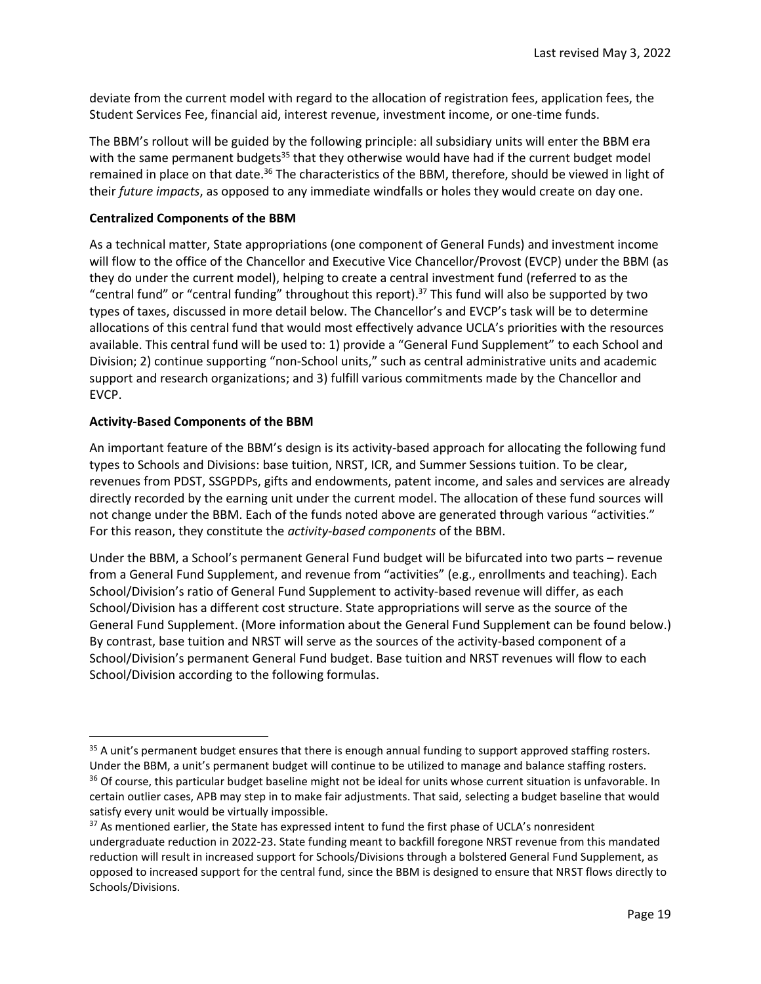deviate from the current model with regard to the allocation of registration fees, application fees, the Student Services Fee, financial aid, interest revenue, investment income, or one-time funds.

The BBM's rollout will be guided by the following principle: all subsidiary units will enter the BBM era with the same permanent budgets<sup>35</sup> that they otherwise would have had if the current budget model remained in place on that date.<sup>36</sup> The characteristics of the BBM, therefore, should be viewed in light of their *future impacts*, as opposed to any immediate windfalls or holes they would create on day one.

#### **Centralized Components of the BBM**

As a technical matter, State appropriations (one component of General Funds) and investment income will flow to the office of the Chancellor and Executive Vice Chancellor/Provost (EVCP) under the BBM (as they do under the current model), helping to create a central investment fund (referred to as the "central fund" or "central funding" throughout this report).<sup>37</sup> This fund will also be supported by two types of taxes, discussed in more detail below. The Chancellor's and EVCP's task will be to determine allocations of this central fund that would most effectively advance UCLA's priorities with the resources available. This central fund will be used to: 1) provide a "General Fund Supplement" to each School and Division; 2) continue supporting "non-School units," such as central administrative units and academic support and research organizations; and 3) fulfill various commitments made by the Chancellor and EVCP.

#### **Activity-Based Components of the BBM**

 $\overline{a}$ 

An important feature of the BBM's design is its activity-based approach for allocating the following fund types to Schools and Divisions: base tuition, NRST, ICR, and Summer Sessions tuition. To be clear, revenues from PDST, SSGPDPs, gifts and endowments, patent income, and sales and services are already directly recorded by the earning unit under the current model. The allocation of these fund sources will not change under the BBM. Each of the funds noted above are generated through various "activities." For this reason, they constitute the *activity-based components* of the BBM.

Under the BBM, a School's permanent General Fund budget will be bifurcated into two parts – revenue from a General Fund Supplement, and revenue from "activities" (e.g., enrollments and teaching). Each School/Division's ratio of General Fund Supplement to activity-based revenue will differ, as each School/Division has a different cost structure. State appropriations will serve as the source of the General Fund Supplement. (More information about the General Fund Supplement can be found below.) By contrast, base tuition and NRST will serve as the sources of the activity-based component of a School/Division's permanent General Fund budget. Base tuition and NRST revenues will flow to each School/Division according to the following formulas.

<sup>&</sup>lt;sup>35</sup> A unit's permanent budget ensures that there is enough annual funding to support approved staffing rosters. Under the BBM, a unit's permanent budget will continue to be utilized to manage and balance staffing rosters. <sup>36</sup> Of course, this particular budget baseline might not be ideal for units whose current situation is unfavorable. In certain outlier cases, APB may step in to make fair adjustments. That said, selecting a budget baseline that would satisfy every unit would be virtually impossible.

<sup>&</sup>lt;sup>37</sup> As mentioned earlier, the State has expressed intent to fund the first phase of UCLA's nonresident undergraduate reduction in 2022-23. State funding meant to backfill foregone NRST revenue from this mandated reduction will result in increased support for Schools/Divisions through a bolstered General Fund Supplement, as opposed to increased support for the central fund, since the BBM is designed to ensure that NRST flows directly to Schools/Divisions.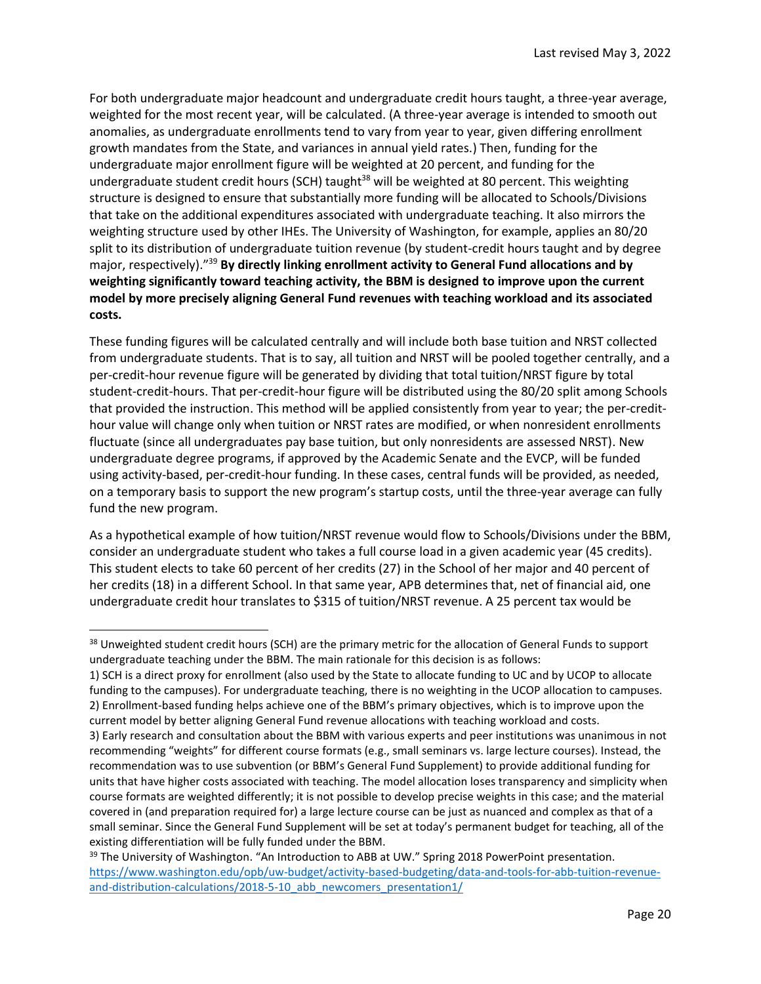For both undergraduate major headcount and undergraduate credit hours taught, a three-year average, weighted for the most recent year, will be calculated. (A three-year average is intended to smooth out anomalies, as undergraduate enrollments tend to vary from year to year, given differing enrollment growth mandates from the State, and variances in annual yield rates.) Then, funding for the undergraduate major enrollment figure will be weighted at 20 percent, and funding for the undergraduate student credit hours (SCH) taught<sup>38</sup> will be weighted at 80 percent. This weighting structure is designed to ensure that substantially more funding will be allocated to Schools/Divisions that take on the additional expenditures associated with undergraduate teaching. It also mirrors the weighting structure used by other IHEs. The University of Washington, for example, applies an 80/20 split to its distribution of undergraduate tuition revenue (by student-credit hours taught and by degree major, respectively)."<sup>39</sup> **By directly linking enrollment activity to General Fund allocations and by weighting significantly toward teaching activity, the BBM is designed to improve upon the current model by more precisely aligning General Fund revenues with teaching workload and its associated costs.**

These funding figures will be calculated centrally and will include both base tuition and NRST collected from undergraduate students. That is to say, all tuition and NRST will be pooled together centrally, and a per-credit-hour revenue figure will be generated by dividing that total tuition/NRST figure by total student-credit-hours. That per-credit-hour figure will be distributed using the 80/20 split among Schools that provided the instruction. This method will be applied consistently from year to year; the per-credithour value will change only when tuition or NRST rates are modified, or when nonresident enrollments fluctuate (since all undergraduates pay base tuition, but only nonresidents are assessed NRST). New undergraduate degree programs, if approved by the Academic Senate and the EVCP, will be funded using activity-based, per-credit-hour funding. In these cases, central funds will be provided, as needed, on a temporary basis to support the new program's startup costs, until the three-year average can fully fund the new program.

As a hypothetical example of how tuition/NRST revenue would flow to Schools/Divisions under the BBM, consider an undergraduate student who takes a full course load in a given academic year (45 credits). This student elects to take 60 percent of her credits (27) in the School of her major and 40 percent of her credits (18) in a different School. In that same year, APB determines that, net of financial aid, one undergraduate credit hour translates to \$315 of tuition/NRST revenue. A 25 percent tax would be

l

<sup>&</sup>lt;sup>38</sup> Unweighted student credit hours (SCH) are the primary metric for the allocation of General Funds to support undergraduate teaching under the BBM. The main rationale for this decision is as follows:

<sup>1)</sup> SCH is a direct proxy for enrollment (also used by the State to allocate funding to UC and by UCOP to allocate funding to the campuses). For undergraduate teaching, there is no weighting in the UCOP allocation to campuses. 2) Enrollment-based funding helps achieve one of the BBM's primary objectives, which is to improve upon the current model by better aligning General Fund revenue allocations with teaching workload and costs.

<sup>3)</sup> Early research and consultation about the BBM with various experts and peer institutions was unanimous in not recommending "weights" for different course formats (e.g., small seminars vs. large lecture courses). Instead, the recommendation was to use subvention (or BBM's General Fund Supplement) to provide additional funding for units that have higher costs associated with teaching. The model allocation loses transparency and simplicity when course formats are weighted differently; it is not possible to develop precise weights in this case; and the material covered in (and preparation required for) a large lecture course can be just as nuanced and complex as that of a small seminar. Since the General Fund Supplement will be set at today's permanent budget for teaching, all of the existing differentiation will be fully funded under the BBM.

<sup>&</sup>lt;sup>39</sup> The University of Washington. "An Introduction to ABB at UW." Spring 2018 PowerPoint presentation. [https://www.washington.edu/opb/uw-budget/activity-based-budgeting/data-and-tools-for-abb-tuition-revenue](https://www.washington.edu/opb/uw-budget/activity-based-budgeting/data-and-tools-for-abb-tuition-revenue-and-distribution-calculations/2018-5-10_abb_newcomers_presentation1/)[and-distribution-calculations/2018-5-10\\_abb\\_newcomers\\_presentation1/](https://www.washington.edu/opb/uw-budget/activity-based-budgeting/data-and-tools-for-abb-tuition-revenue-and-distribution-calculations/2018-5-10_abb_newcomers_presentation1/)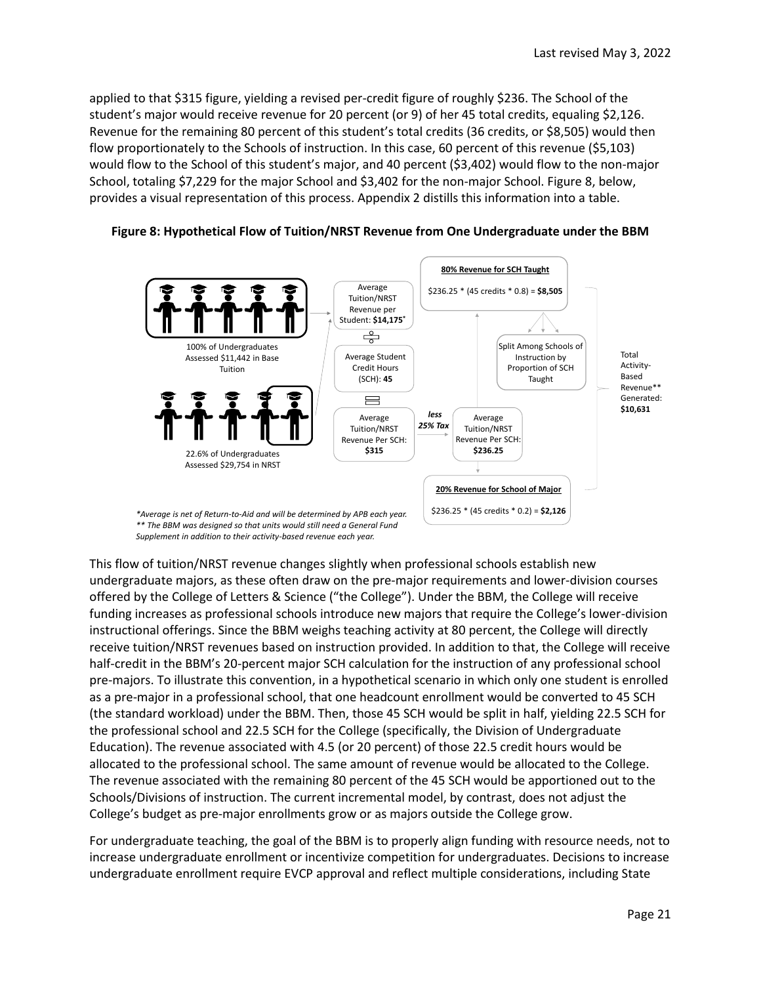applied to that \$315 figure, yielding a revised per-credit figure of roughly \$236. The School of the student's major would receive revenue for 20 percent (or 9) of her 45 total credits, equaling \$2,126. Revenue for the remaining 80 percent of this student's total credits (36 credits, or \$8,505) would then flow proportionately to the Schools of instruction. In this case, 60 percent of this revenue (\$5,103) would flow to the School of this student's major, and 40 percent (\$3,402) would flow to the non-major School, totaling \$7,229 for the major School and \$3,402 for the non-major School. Figure 8, below, provides a visual representation of this process. Appendix 2 distills this information into a table.



**Figure 8: Hypothetical Flow of Tuition/NRST Revenue from One Undergraduate under the BBM**

This flow of tuition/NRST revenue changes slightly when professional schools establish new undergraduate majors, as these often draw on the pre-major requirements and lower-division courses offered by the College of Letters & Science ("the College"). Under the BBM, the College will receive funding increases as professional schools introduce new majors that require the College's lower-division instructional offerings. Since the BBM weighs teaching activity at 80 percent, the College will directly receive tuition/NRST revenues based on instruction provided. In addition to that, the College will receive half-credit in the BBM's 20-percent major SCH calculation for the instruction of any professional school pre-majors. To illustrate this convention, in a hypothetical scenario in which only one student is enrolled as a pre-major in a professional school, that one headcount enrollment would be converted to 45 SCH (the standard workload) under the BBM. Then, those 45 SCH would be split in half, yielding 22.5 SCH for the professional school and 22.5 SCH for the College (specifically, the Division of Undergraduate Education). The revenue associated with 4.5 (or 20 percent) of those 22.5 credit hours would be allocated to the professional school. The same amount of revenue would be allocated to the College. The revenue associated with the remaining 80 percent of the 45 SCH would be apportioned out to the Schools/Divisions of instruction. The current incremental model, by contrast, does not adjust the College's budget as pre-major enrollments grow or as majors outside the College grow.

For undergraduate teaching, the goal of the BBM is to properly align funding with resource needs, not to increase undergraduate enrollment or incentivize competition for undergraduates. Decisions to increase undergraduate enrollment require EVCP approval and reflect multiple considerations, including State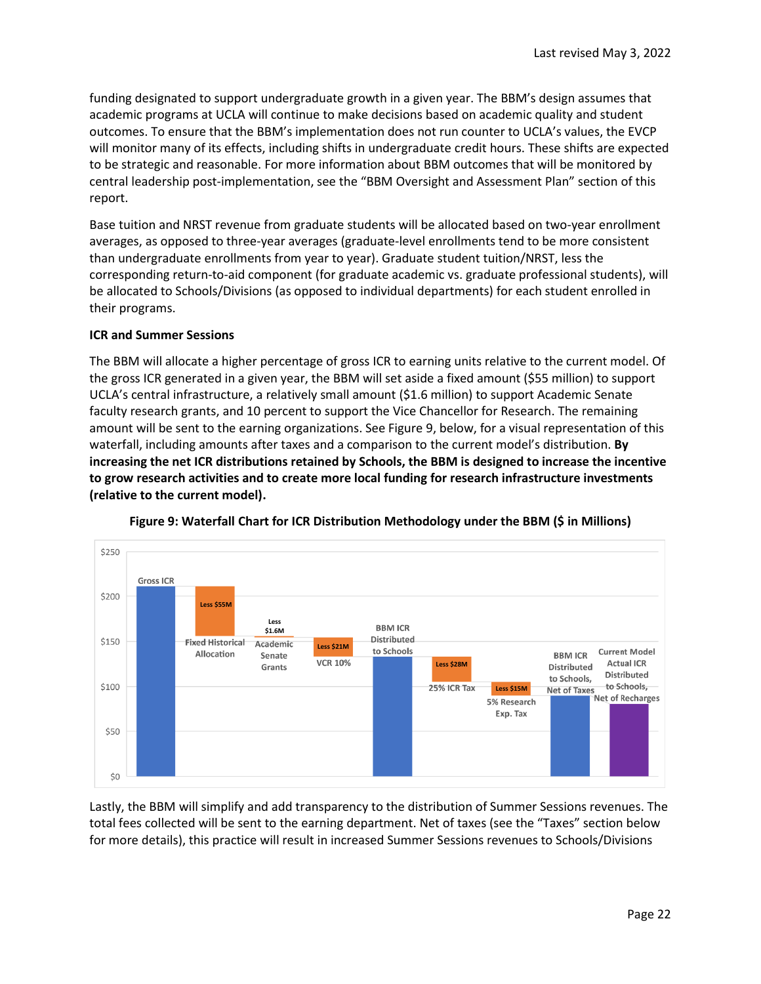funding designated to support undergraduate growth in a given year. The BBM's design assumes that academic programs at UCLA will continue to make decisions based on academic quality and student outcomes. To ensure that the BBM's implementation does not run counter to UCLA's values, the EVCP will monitor many of its effects, including shifts in undergraduate credit hours. These shifts are expected to be strategic and reasonable. For more information about BBM outcomes that will be monitored by central leadership post-implementation, see the "BBM Oversight and Assessment Plan" section of this report.

Base tuition and NRST revenue from graduate students will be allocated based on two-year enrollment averages, as opposed to three-year averages (graduate-level enrollments tend to be more consistent than undergraduate enrollments from year to year). Graduate student tuition/NRST, less the corresponding return-to-aid component (for graduate academic vs. graduate professional students), will be allocated to Schools/Divisions (as opposed to individual departments) for each student enrolled in their programs.

#### **ICR and Summer Sessions**

The BBM will allocate a higher percentage of gross ICR to earning units relative to the current model. Of the gross ICR generated in a given year, the BBM will set aside a fixed amount (\$55 million) to support UCLA's central infrastructure, a relatively small amount (\$1.6 million) to support Academic Senate faculty research grants, and 10 percent to support the Vice Chancellor for Research. The remaining amount will be sent to the earning organizations. See Figure 9, below, for a visual representation of this waterfall, including amounts after taxes and a comparison to the current model's distribution. **By increasing the net ICR distributions retained by Schools, the BBM is designed to increase the incentive to grow research activities and to create more local funding for research infrastructure investments (relative to the current model).**



**Figure 9: Waterfall Chart for ICR Distribution Methodology under the BBM (\$ in Millions)**

Lastly, the BBM will simplify and add transparency to the distribution of Summer Sessions revenues. The total fees collected will be sent to the earning department. Net of taxes (see the "Taxes" section below for more details), this practice will result in increased Summer Sessions revenues to Schools/Divisions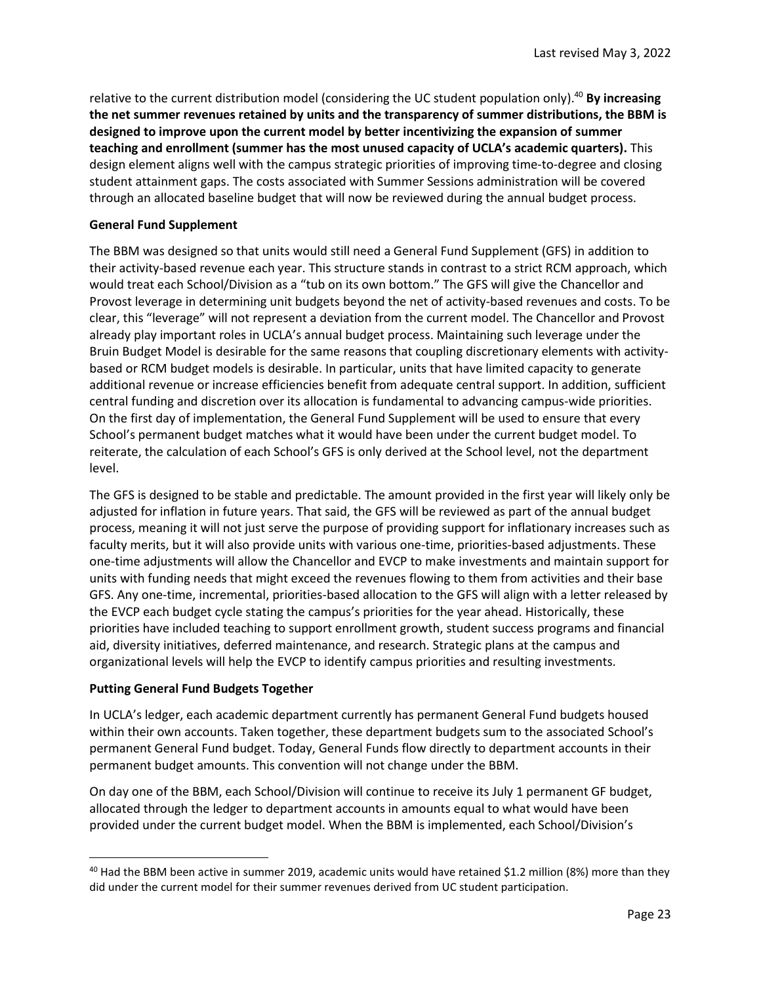relative to the current distribution model (considering the UC student population only). <sup>40</sup> **By increasing the net summer revenues retained by units and the transparency of summer distributions, the BBM is designed to improve upon the current model by better incentivizing the expansion of summer teaching and enrollment (summer has the most unused capacity of UCLA's academic quarters).** This design element aligns well with the campus strategic priorities of improving time-to-degree and closing student attainment gaps. The costs associated with Summer Sessions administration will be covered through an allocated baseline budget that will now be reviewed during the annual budget process.

#### **General Fund Supplement**

The BBM was designed so that units would still need a General Fund Supplement (GFS) in addition to their activity-based revenue each year. This structure stands in contrast to a strict RCM approach, which would treat each School/Division as a "tub on its own bottom." The GFS will give the Chancellor and Provost leverage in determining unit budgets beyond the net of activity-based revenues and costs. To be clear, this "leverage" will not represent a deviation from the current model. The Chancellor and Provost already play important roles in UCLA's annual budget process. Maintaining such leverage under the Bruin Budget Model is desirable for the same reasons that coupling discretionary elements with activitybased or RCM budget models is desirable. In particular, units that have limited capacity to generate additional revenue or increase efficiencies benefit from adequate central support. In addition, sufficient central funding and discretion over its allocation is fundamental to advancing campus-wide priorities. On the first day of implementation, the General Fund Supplement will be used to ensure that every School's permanent budget matches what it would have been under the current budget model. To reiterate, the calculation of each School's GFS is only derived at the School level, not the department level.

The GFS is designed to be stable and predictable. The amount provided in the first year will likely only be adjusted for inflation in future years. That said, the GFS will be reviewed as part of the annual budget process, meaning it will not just serve the purpose of providing support for inflationary increases such as faculty merits, but it will also provide units with various one-time, priorities-based adjustments. These one-time adjustments will allow the Chancellor and EVCP to make investments and maintain support for units with funding needs that might exceed the revenues flowing to them from activities and their base GFS. Any one-time, incremental, priorities-based allocation to the GFS will align with a letter released by the EVCP each budget cycle stating the campus's priorities for the year ahead. Historically, these priorities have included teaching to support enrollment growth, student success programs and financial aid, diversity initiatives, deferred maintenance, and research. Strategic plans at the campus and organizational levels will help the EVCP to identify campus priorities and resulting investments.

#### **Putting General Fund Budgets Together**

 $\overline{\phantom{a}}$ 

In UCLA's ledger, each academic department currently has permanent General Fund budgets housed within their own accounts. Taken together, these department budgets sum to the associated School's permanent General Fund budget. Today, General Funds flow directly to department accounts in their permanent budget amounts. This convention will not change under the BBM.

On day one of the BBM, each School/Division will continue to receive its July 1 permanent GF budget, allocated through the ledger to department accounts in amounts equal to what would have been provided under the current budget model. When the BBM is implemented, each School/Division's

<sup>&</sup>lt;sup>40</sup> Had the BBM been active in summer 2019, academic units would have retained \$1.2 million (8%) more than they did under the current model for their summer revenues derived from UC student participation.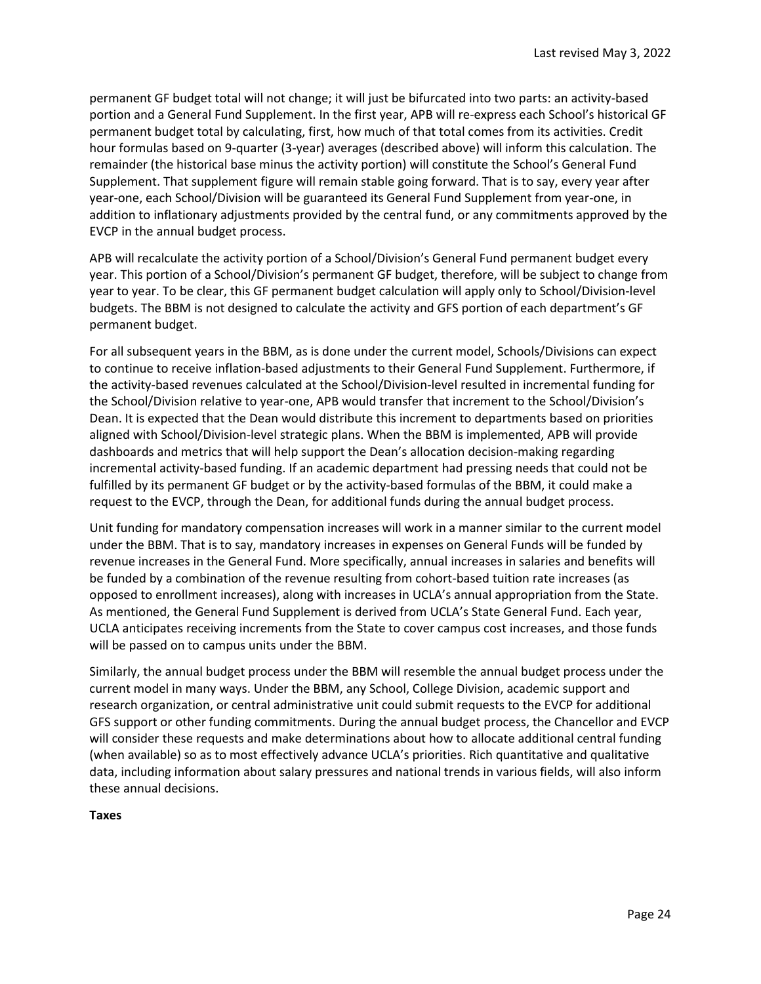permanent GF budget total will not change; it will just be bifurcated into two parts: an activity-based portion and a General Fund Supplement. In the first year, APB will re-express each School's historical GF permanent budget total by calculating, first, how much of that total comes from its activities. Credit hour formulas based on 9-quarter (3-year) averages (described above) will inform this calculation. The remainder (the historical base minus the activity portion) will constitute the School's General Fund Supplement. That supplement figure will remain stable going forward. That is to say, every year after year-one, each School/Division will be guaranteed its General Fund Supplement from year-one, in addition to inflationary adjustments provided by the central fund, or any commitments approved by the EVCP in the annual budget process.

APB will recalculate the activity portion of a School/Division's General Fund permanent budget every year. This portion of a School/Division's permanent GF budget, therefore, will be subject to change from year to year. To be clear, this GF permanent budget calculation will apply only to School/Division-level budgets. The BBM is not designed to calculate the activity and GFS portion of each department's GF permanent budget.

For all subsequent years in the BBM, as is done under the current model, Schools/Divisions can expect to continue to receive inflation-based adjustments to their General Fund Supplement. Furthermore, if the activity-based revenues calculated at the School/Division-level resulted in incremental funding for the School/Division relative to year-one, APB would transfer that increment to the School/Division's Dean. It is expected that the Dean would distribute this increment to departments based on priorities aligned with School/Division-level strategic plans. When the BBM is implemented, APB will provide dashboards and metrics that will help support the Dean's allocation decision-making regarding incremental activity-based funding. If an academic department had pressing needs that could not be fulfilled by its permanent GF budget or by the activity-based formulas of the BBM, it could make a request to the EVCP, through the Dean, for additional funds during the annual budget process.

Unit funding for mandatory compensation increases will work in a manner similar to the current model under the BBM. That is to say, mandatory increases in expenses on General Funds will be funded by revenue increases in the General Fund. More specifically, annual increases in salaries and benefits will be funded by a combination of the revenue resulting from cohort-based tuition rate increases (as opposed to enrollment increases), along with increases in UCLA's annual appropriation from the State. As mentioned, the General Fund Supplement is derived from UCLA's State General Fund. Each year, UCLA anticipates receiving increments from the State to cover campus cost increases, and those funds will be passed on to campus units under the BBM.

Similarly, the annual budget process under the BBM will resemble the annual budget process under the current model in many ways. Under the BBM, any School, College Division, academic support and research organization, or central administrative unit could submit requests to the EVCP for additional GFS support or other funding commitments. During the annual budget process, the Chancellor and EVCP will consider these requests and make determinations about how to allocate additional central funding (when available) so as to most effectively advance UCLA's priorities. Rich quantitative and qualitative data, including information about salary pressures and national trends in various fields, will also inform these annual decisions.

**Taxes**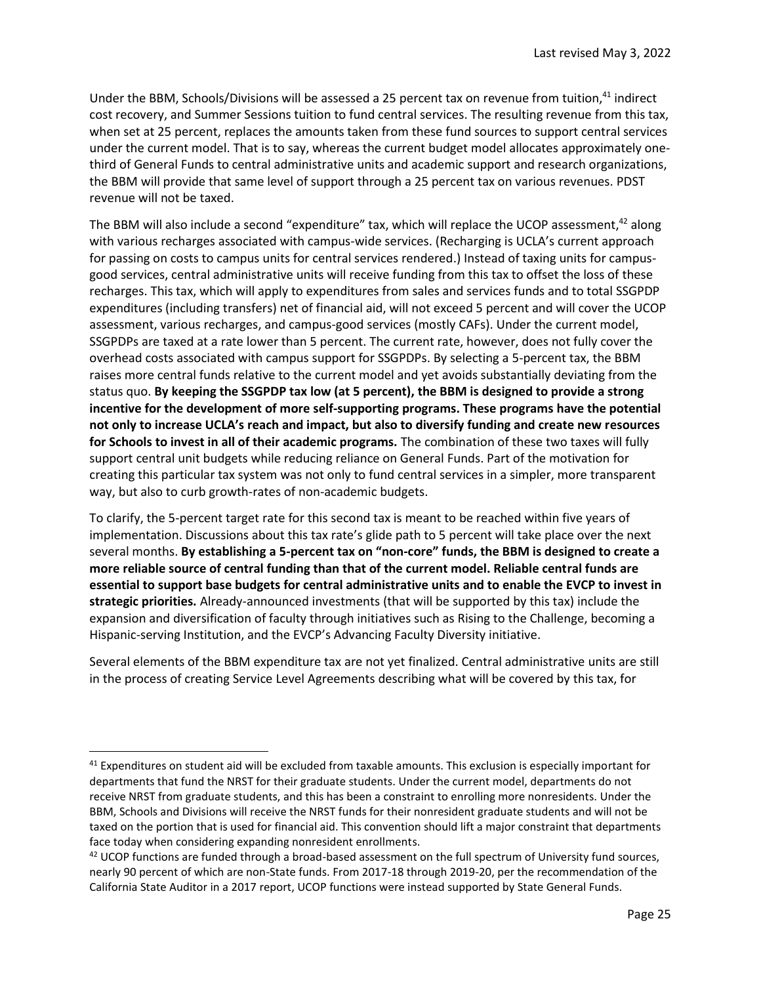Under the BBM, Schools/Divisions will be assessed a 25 percent tax on revenue from tuition,<sup>41</sup> indirect cost recovery, and Summer Sessions tuition to fund central services. The resulting revenue from this tax, when set at 25 percent, replaces the amounts taken from these fund sources to support central services under the current model. That is to say, whereas the current budget model allocates approximately onethird of General Funds to central administrative units and academic support and research organizations, the BBM will provide that same level of support through a 25 percent tax on various revenues. PDST revenue will not be taxed.

The BBM will also include a second "expenditure" tax, which will replace the UCOP assessment,<sup>42</sup> along with various recharges associated with campus-wide services. (Recharging is UCLA's current approach for passing on costs to campus units for central services rendered.) Instead of taxing units for campusgood services, central administrative units will receive funding from this tax to offset the loss of these recharges. This tax, which will apply to expenditures from sales and services funds and to total SSGPDP expenditures (including transfers) net of financial aid, will not exceed 5 percent and will cover the UCOP assessment, various recharges, and campus-good services (mostly CAFs). Under the current model, SSGPDPs are taxed at a rate lower than 5 percent. The current rate, however, does not fully cover the overhead costs associated with campus support for SSGPDPs. By selecting a 5-percent tax, the BBM raises more central funds relative to the current model and yet avoids substantially deviating from the status quo. **By keeping the SSGPDP tax low (at 5 percent), the BBM is designed to provide a strong incentive for the development of more self-supporting programs. These programs have the potential not only to increase UCLA's reach and impact, but also to diversify funding and create new resources for Schools to invest in all of their academic programs.** The combination of these two taxes will fully support central unit budgets while reducing reliance on General Funds. Part of the motivation for creating this particular tax system was not only to fund central services in a simpler, more transparent way, but also to curb growth-rates of non-academic budgets.

To clarify, the 5-percent target rate for this second tax is meant to be reached within five years of implementation. Discussions about this tax rate's glide path to 5 percent will take place over the next several months. **By establishing a 5-percent tax on "non-core" funds, the BBM is designed to create a more reliable source of central funding than that of the current model. Reliable central funds are essential to support base budgets for central administrative units and to enable the EVCP to invest in strategic priorities.** Already-announced investments (that will be supported by this tax) include the expansion and diversification of faculty through initiatives such as Rising to the Challenge, becoming a Hispanic-serving Institution, and the EVCP's Advancing Faculty Diversity initiative.

Several elements of the BBM expenditure tax are not yet finalized. Central administrative units are still in the process of creating Service Level Agreements describing what will be covered by this tax, for

 $\overline{\phantom{a}}$ 

 $41$  Expenditures on student aid will be excluded from taxable amounts. This exclusion is especially important for departments that fund the NRST for their graduate students. Under the current model, departments do not receive NRST from graduate students, and this has been a constraint to enrolling more nonresidents. Under the BBM, Schools and Divisions will receive the NRST funds for their nonresident graduate students and will not be taxed on the portion that is used for financial aid. This convention should lift a major constraint that departments face today when considering expanding nonresident enrollments.

 $42$  UCOP functions are funded through a broad-based assessment on the full spectrum of University fund sources, nearly 90 percent of which are non-State funds. From 2017-18 through 2019-20, per the recommendation of the California State Auditor in a 2017 report, UCOP functions were instead supported by State General Funds.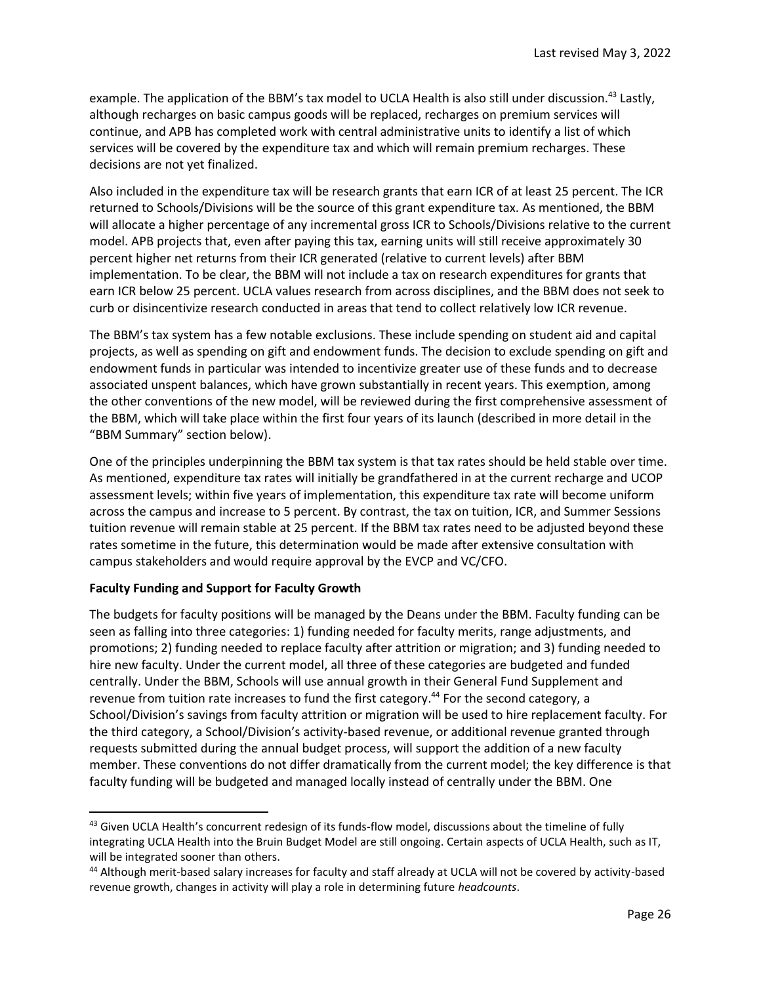example. The application of the BBM's tax model to UCLA Health is also still under discussion.<sup>43</sup> Lastly, although recharges on basic campus goods will be replaced, recharges on premium services will continue, and APB has completed work with central administrative units to identify a list of which services will be covered by the expenditure tax and which will remain premium recharges. These decisions are not yet finalized.

Also included in the expenditure tax will be research grants that earn ICR of at least 25 percent. The ICR returned to Schools/Divisions will be the source of this grant expenditure tax. As mentioned, the BBM will allocate a higher percentage of any incremental gross ICR to Schools/Divisions relative to the current model. APB projects that, even after paying this tax, earning units will still receive approximately 30 percent higher net returns from their ICR generated (relative to current levels) after BBM implementation. To be clear, the BBM will not include a tax on research expenditures for grants that earn ICR below 25 percent. UCLA values research from across disciplines, and the BBM does not seek to curb or disincentivize research conducted in areas that tend to collect relatively low ICR revenue.

The BBM's tax system has a few notable exclusions. These include spending on student aid and capital projects, as well as spending on gift and endowment funds. The decision to exclude spending on gift and endowment funds in particular was intended to incentivize greater use of these funds and to decrease associated unspent balances, which have grown substantially in recent years. This exemption, among the other conventions of the new model, will be reviewed during the first comprehensive assessment of the BBM, which will take place within the first four years of its launch (described in more detail in the "BBM Summary" section below).

One of the principles underpinning the BBM tax system is that tax rates should be held stable over time. As mentioned, expenditure tax rates will initially be grandfathered in at the current recharge and UCOP assessment levels; within five years of implementation, this expenditure tax rate will become uniform across the campus and increase to 5 percent. By contrast, the tax on tuition, ICR, and Summer Sessions tuition revenue will remain stable at 25 percent. If the BBM tax rates need to be adjusted beyond these rates sometime in the future, this determination would be made after extensive consultation with campus stakeholders and would require approval by the EVCP and VC/CFO.

# **Faculty Funding and Support for Faculty Growth**

 $\overline{\phantom{a}}$ 

The budgets for faculty positions will be managed by the Deans under the BBM. Faculty funding can be seen as falling into three categories: 1) funding needed for faculty merits, range adjustments, and promotions; 2) funding needed to replace faculty after attrition or migration; and 3) funding needed to hire new faculty. Under the current model, all three of these categories are budgeted and funded centrally. Under the BBM, Schools will use annual growth in their General Fund Supplement and revenue from tuition rate increases to fund the first category.<sup>44</sup> For the second category, a School/Division's savings from faculty attrition or migration will be used to hire replacement faculty. For the third category, a School/Division's activity-based revenue, or additional revenue granted through requests submitted during the annual budget process, will support the addition of a new faculty member. These conventions do not differ dramatically from the current model; the key difference is that faculty funding will be budgeted and managed locally instead of centrally under the BBM. One

<sup>43</sup> Given UCLA Health's concurrent redesign of its funds-flow model, discussions about the timeline of fully integrating UCLA Health into the Bruin Budget Model are still ongoing. Certain aspects of UCLA Health, such as IT, will be integrated sooner than others.

<sup>44</sup> Although merit-based salary increases for faculty and staff already at UCLA will not be covered by activity-based revenue growth, changes in activity will play a role in determining future *headcounts*.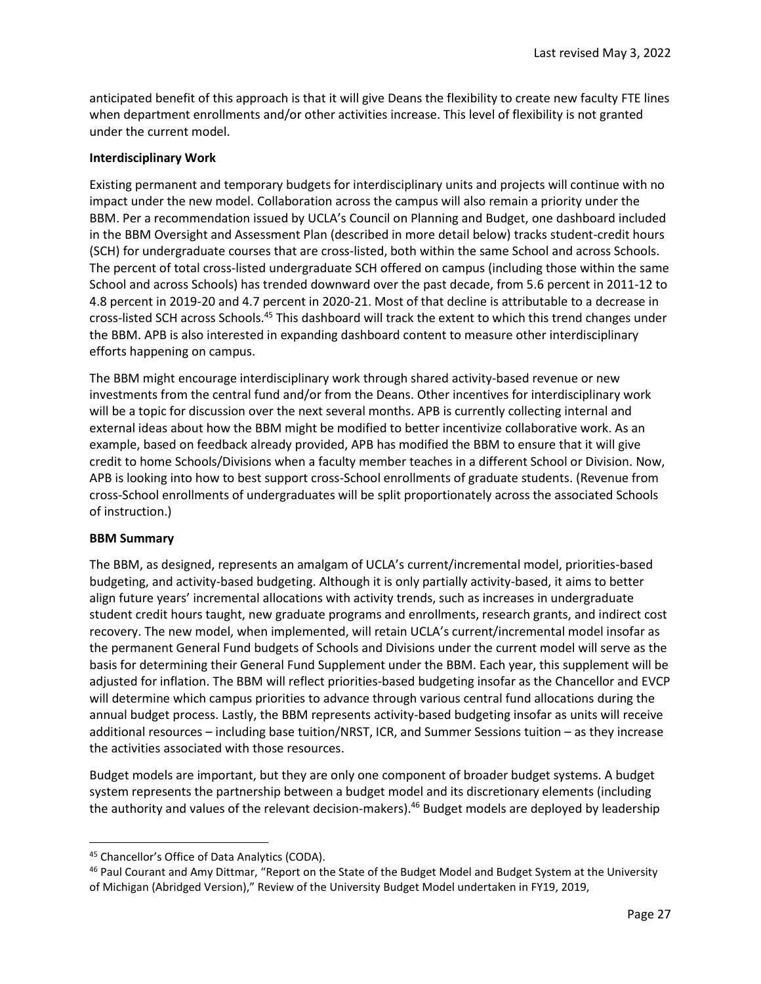anticipated benefit of this approach is that it will give Deans the flexibility to create new faculty FTE lines when department enrollments and/or other activities increase. This level of flexibility is not granted under the current model.

### **Interdisciplinary Work**

Existing permanent and temporary budgets for interdisciplinary units and projects will continue with no impact under the new model. Collaboration across the campus will also remain a priority under the BBM. Per a recommendation issued by UCLA's Council on Planning and Budget, one dashboard included in the BBM Oversight and Assessment Plan (described in more detail below) tracks student-credit hours (SCH) for undergraduate courses that are cross-listed, both within the same School and across Schools. The percent of total cross-listed undergraduate SCH offered on campus (including those within the same School and across Schools) has trended downward over the past decade, from 5.6 percent in 2011-12 to 4.8 percent in 2019-20 and 4.7 percent in 2020-21. Most of that decline is attributable to a decrease in cross-listed SCH across Schools.<sup>45</sup> This dashboard will track the extent to which this trend changes under the BBM. APB is also interested in expanding dashboard content to measure other interdisciplinary efforts happening on campus.

The BBM might encourage interdisciplinary work through shared activity-based revenue or new investments from the central fund and/or from the Deans. Other incentives for interdisciplinary work will be a topic for discussion over the next several months. APB is currently collecting internal and external ideas about how the BBM might be modified to better incentivize collaborative work. As an example, based on feedback already provided, APB has modified the BBM to ensure that it will give credit to home Schools/Divisions when a faculty member teaches in a different School or Division. Now, APB is looking into how to best support cross-School enrollments of graduate students. (Revenue from cross-School enrollments of undergraduates will be split proportionately across the associated Schools of instruction.)

### **BBM Summary**

 $\overline{a}$ 

The BBM, as designed, represents an amalgam of UCLA's current/incremental model, priorities-based budgeting, and activity-based budgeting. Although it is only partially activity-based, it aims to better align future years' incremental allocations with activity trends, such as increases in undergraduate student credit hours taught, new graduate programs and enrollments, research grants, and indirect cost recovery. The new model, when implemented, will retain UCLA's current/incremental model insofar as the permanent General Fund budgets of Schools and Divisions under the current model will serve as the basis for determining their General Fund Supplement under the BBM. Each year, this supplement will be adjusted for inflation. The BBM will reflect priorities-based budgeting insofar as the Chancellor and EVCP will determine which campus priorities to advance through various central fund allocations during the annual budget process. Lastly, the BBM represents activity-based budgeting insofar as units will receive additional resources – including base tuition/NRST, ICR, and Summer Sessions tuition – as they increase the activities associated with those resources.

Budget models are important, but they are only one component of broader budget systems. A budget system represents the partnership between a budget model and its discretionary elements (including the authority and values of the relevant decision-makers).<sup>46</sup> Budget models are deployed by leadership

<sup>45</sup> Chancellor's Office of Data Analytics (CODA).

<sup>&</sup>lt;sup>46</sup> Paul Courant and Amy Dittmar, "Report on the State of the Budget Model and Budget System at the University of Michigan (Abridged Version)," Review of the University Budget Model undertaken in FY19, 2019,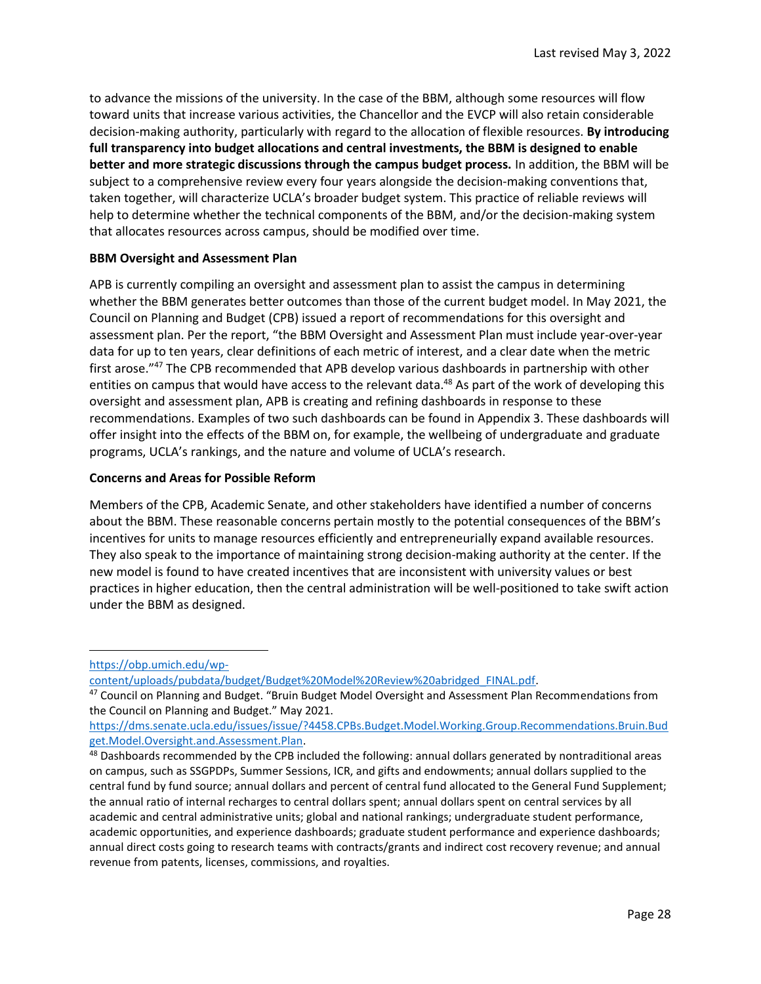to advance the missions of the university. In the case of the BBM, although some resources will flow toward units that increase various activities, the Chancellor and the EVCP will also retain considerable decision-making authority, particularly with regard to the allocation of flexible resources. **By introducing full transparency into budget allocations and central investments, the BBM is designed to enable better and more strategic discussions through the campus budget process.** In addition, the BBM will be subject to a comprehensive review every four years alongside the decision-making conventions that, taken together, will characterize UCLA's broader budget system. This practice of reliable reviews will help to determine whether the technical components of the BBM, and/or the decision-making system that allocates resources across campus, should be modified over time.

#### **BBM Oversight and Assessment Plan**

APB is currently compiling an oversight and assessment plan to assist the campus in determining whether the BBM generates better outcomes than those of the current budget model. In May 2021, the Council on Planning and Budget (CPB) issued a report of recommendations for this oversight and assessment plan. Per the report, "the BBM Oversight and Assessment Plan must include year-over-year data for up to ten years, clear definitions of each metric of interest, and a clear date when the metric first arose."<sup>47</sup> The CPB recommended that APB develop various dashboards in partnership with other entities on campus that would have access to the relevant data.<sup>48</sup> As part of the work of developing this oversight and assessment plan, APB is creating and refining dashboards in response to these recommendations. Examples of two such dashboards can be found in Appendix 3. These dashboards will offer insight into the effects of the BBM on, for example, the wellbeing of undergraduate and graduate programs, UCLA's rankings, and the nature and volume of UCLA's research.

#### **Concerns and Areas for Possible Reform**

Members of the CPB, Academic Senate, and other stakeholders have identified a number of concerns about the BBM. These reasonable concerns pertain mostly to the potential consequences of the BBM's incentives for units to manage resources efficiently and entrepreneurially expand available resources. They also speak to the importance of maintaining strong decision-making authority at the center. If the new model is found to have created incentives that are inconsistent with university values or best practices in higher education, then the central administration will be well-positioned to take swift action under the BBM as designed.

 $\overline{\phantom{a}}$ 

[https://obp.umich.edu/wp-](https://obp.umich.edu/wp-content/uploads/pubdata/budget/Budget%20Model%20Review%20abridged_FINAL.pdf)

[content/uploads/pubdata/budget/Budget%20Model%20Review%20abridged\\_FINAL.pdf.](https://obp.umich.edu/wp-content/uploads/pubdata/budget/Budget%20Model%20Review%20abridged_FINAL.pdf)

<sup>47</sup> Council on Planning and Budget. "Bruin Budget Model Oversight and Assessment Plan Recommendations from the Council on Planning and Budget." May 2021.

[https://dms.senate.ucla.edu/issues/issue/?4458.CPBs.Budget.Model.Working.Group.Recommendations.Bruin.Bud](https://dms.senate.ucla.edu/issues/issue/?4458.CPBs.Budget.Model.Working.Group.Recommendations.Bruin.Budget.Model.Oversight.and.Assessment.Plan) [get.Model.Oversight.and.Assessment.Plan.](https://dms.senate.ucla.edu/issues/issue/?4458.CPBs.Budget.Model.Working.Group.Recommendations.Bruin.Budget.Model.Oversight.and.Assessment.Plan)

<sup>48</sup> Dashboards recommended by the CPB included the following: annual dollars generated by nontraditional areas on campus, such as SSGPDPs, Summer Sessions, ICR, and gifts and endowments; annual dollars supplied to the central fund by fund source; annual dollars and percent of central fund allocated to the General Fund Supplement; the annual ratio of internal recharges to central dollars spent; annual dollars spent on central services by all academic and central administrative units; global and national rankings; undergraduate student performance, academic opportunities, and experience dashboards; graduate student performance and experience dashboards; annual direct costs going to research teams with contracts/grants and indirect cost recovery revenue; and annual revenue from patents, licenses, commissions, and royalties.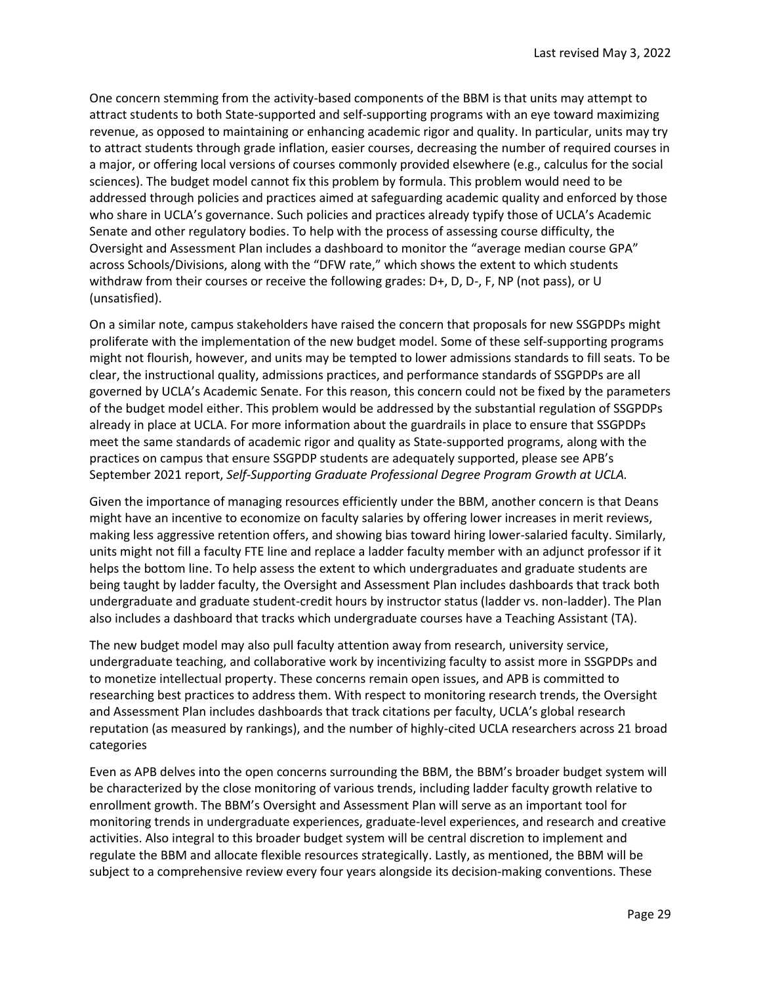One concern stemming from the activity-based components of the BBM is that units may attempt to attract students to both State-supported and self-supporting programs with an eye toward maximizing revenue, as opposed to maintaining or enhancing academic rigor and quality. In particular, units may try to attract students through grade inflation, easier courses, decreasing the number of required courses in a major, or offering local versions of courses commonly provided elsewhere (e.g., calculus for the social sciences). The budget model cannot fix this problem by formula. This problem would need to be addressed through policies and practices aimed at safeguarding academic quality and enforced by those who share in UCLA's governance. Such policies and practices already typify those of UCLA's Academic Senate and other regulatory bodies. To help with the process of assessing course difficulty, the Oversight and Assessment Plan includes a dashboard to monitor the "average median course GPA" across Schools/Divisions, along with the "DFW rate," which shows the extent to which students withdraw from their courses or receive the following grades: D+, D, D-, F, NP (not pass), or U (unsatisfied).

On a similar note, campus stakeholders have raised the concern that proposals for new SSGPDPs might proliferate with the implementation of the new budget model. Some of these self-supporting programs might not flourish, however, and units may be tempted to lower admissions standards to fill seats. To be clear, the instructional quality, admissions practices, and performance standards of SSGPDPs are all governed by UCLA's Academic Senate. For this reason, this concern could not be fixed by the parameters of the budget model either. This problem would be addressed by the substantial regulation of SSGPDPs already in place at UCLA. For more information about the guardrails in place to ensure that SSGPDPs meet the same standards of academic rigor and quality as State-supported programs, along with the practices on campus that ensure SSGPDP students are adequately supported, please see APB's September 2021 report, *Self-Supporting Graduate Professional Degree Program Growth at UCLA.*

Given the importance of managing resources efficiently under the BBM, another concern is that Deans might have an incentive to economize on faculty salaries by offering lower increases in merit reviews, making less aggressive retention offers, and showing bias toward hiring lower-salaried faculty. Similarly, units might not fill a faculty FTE line and replace a ladder faculty member with an adjunct professor if it helps the bottom line. To help assess the extent to which undergraduates and graduate students are being taught by ladder faculty, the Oversight and Assessment Plan includes dashboards that track both undergraduate and graduate student-credit hours by instructor status (ladder vs. non-ladder). The Plan also includes a dashboard that tracks which undergraduate courses have a Teaching Assistant (TA).

The new budget model may also pull faculty attention away from research, university service, undergraduate teaching, and collaborative work by incentivizing faculty to assist more in SSGPDPs and to monetize intellectual property. These concerns remain open issues, and APB is committed to researching best practices to address them. With respect to monitoring research trends, the Oversight and Assessment Plan includes dashboards that track citations per faculty, UCLA's global research reputation (as measured by rankings), and the number of highly-cited UCLA researchers across 21 broad categories

Even as APB delves into the open concerns surrounding the BBM, the BBM's broader budget system will be characterized by the close monitoring of various trends, including ladder faculty growth relative to enrollment growth. The BBM's Oversight and Assessment Plan will serve as an important tool for monitoring trends in undergraduate experiences, graduate-level experiences, and research and creative activities. Also integral to this broader budget system will be central discretion to implement and regulate the BBM and allocate flexible resources strategically. Lastly, as mentioned, the BBM will be subject to a comprehensive review every four years alongside its decision-making conventions. These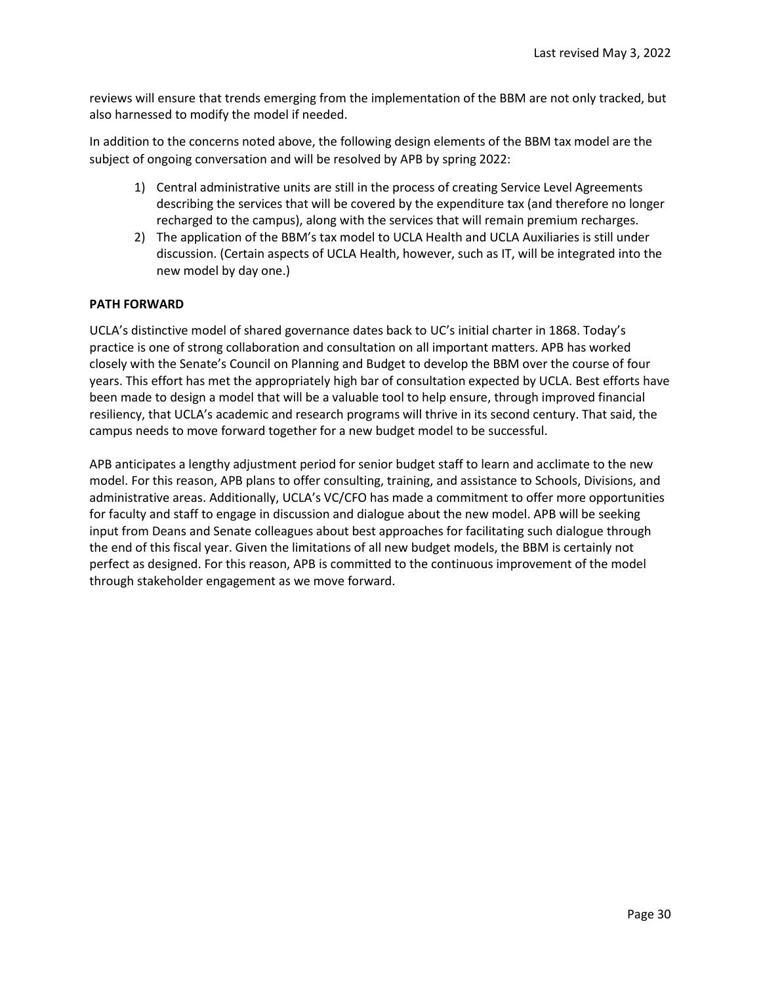reviews will ensure that trends emerging from the implementation of the BBM are not only tracked, but also harnessed to modify the model if needed.

In addition to the concerns noted above, the following design elements of the BBM tax model are the subject of ongoing conversation and will be resolved by APB by spring 2022:

- 1) Central administrative units are still in the process of creating Service Level Agreements describing the services that will be covered by the expenditure tax (and therefore no longer recharged to the campus), along with the services that will remain premium recharges.
- 2) The application of the BBM's tax model to UCLA Health and UCLA Auxiliaries is still under discussion. (Certain aspects of UCLA Health, however, such as IT, will be integrated into the new model by day one.)

#### **PATH FORWARD**

UCLA's distinctive model of shared governance dates back to UC's initial charter in 1868. Today's practice is one of strong collaboration and consultation on all important matters. APB has worked closely with the Senate's Council on Planning and Budget to develop the BBM over the course of four years. This effort has met the appropriately high bar of consultation expected by UCLA. Best efforts have been made to design a model that will be a valuable tool to help ensure, through improved financial resiliency, that UCLA's academic and research programs will thrive in its second century. That said, the campus needs to move forward together for a new budget model to be successful. 

APB anticipates a lengthy adjustment period for senior budget staff to learn and acclimate to the new model. For this reason, APB plans to offer consulting, training, and assistance to Schools, Divisions, and administrative areas. Additionally, UCLA's VC/CFO has made a commitment to offer more opportunities for faculty and staff to engage in discussion and dialogue about the new model. APB will be seeking input from Deans and Senate colleagues about best approaches for facilitating such dialogue through the end of this fiscal year. Given the limitations of all new budget models, the BBM is certainly not perfect as designed. For this reason, APB is committed to the continuous improvement of the model through stakeholder engagement as we move forward.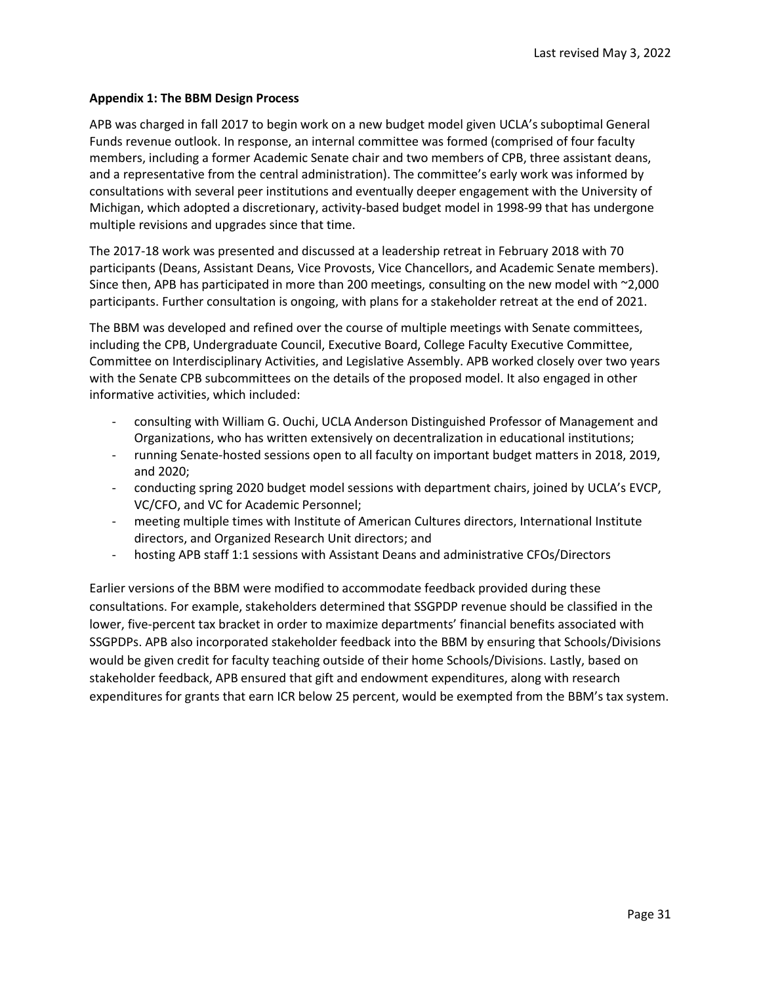#### **Appendix 1: The BBM Design Process**

APB was charged in fall 2017 to begin work on a new budget model given UCLA's suboptimal General Funds revenue outlook. In response, an internal committee was formed (comprised of four faculty members, including a former Academic Senate chair and two members of CPB, three assistant deans, and a representative from the central administration). The committee's early work was informed by consultations with several peer institutions and eventually deeper engagement with the University of Michigan, which adopted a discretionary, activity-based budget model in 1998-99 that has undergone multiple revisions and upgrades since that time.

The 2017-18 work was presented and discussed at a leadership retreat in February 2018 with 70 participants (Deans, Assistant Deans, Vice Provosts, Vice Chancellors, and Academic Senate members). Since then, APB has participated in more than 200 meetings, consulting on the new model with ~2,000 participants. Further consultation is ongoing, with plans for a stakeholder retreat at the end of 2021.

The BBM was developed and refined over the course of multiple meetings with Senate committees, including the CPB, Undergraduate Council, Executive Board, College Faculty Executive Committee, Committee on Interdisciplinary Activities, and Legislative Assembly. APB worked closely over two years with the Senate CPB subcommittees on the details of the proposed model. It also engaged in other informative activities, which included:

- consulting with William G. Ouchi, UCLA Anderson Distinguished Professor of Management and Organizations, who has written extensively on decentralization in educational institutions;
- running Senate-hosted sessions open to all faculty on important budget matters in 2018, 2019, and 2020;
- conducting spring 2020 budget model sessions with department chairs, joined by UCLA's EVCP, VC/CFO, and VC for Academic Personnel;
- meeting multiple times with Institute of American Cultures directors, International Institute directors, and Organized Research Unit directors; and
- hosting APB staff 1:1 sessions with Assistant Deans and administrative CFOs/Directors

Earlier versions of the BBM were modified to accommodate feedback provided during these consultations. For example, stakeholders determined that SSGPDP revenue should be classified in the lower, five-percent tax bracket in order to maximize departments' financial benefits associated with SSGPDPs. APB also incorporated stakeholder feedback into the BBM by ensuring that Schools/Divisions would be given credit for faculty teaching outside of their home Schools/Divisions. Lastly, based on stakeholder feedback, APB ensured that gift and endowment expenditures, along with research expenditures for grants that earn ICR below 25 percent, would be exempted from the BBM's tax system.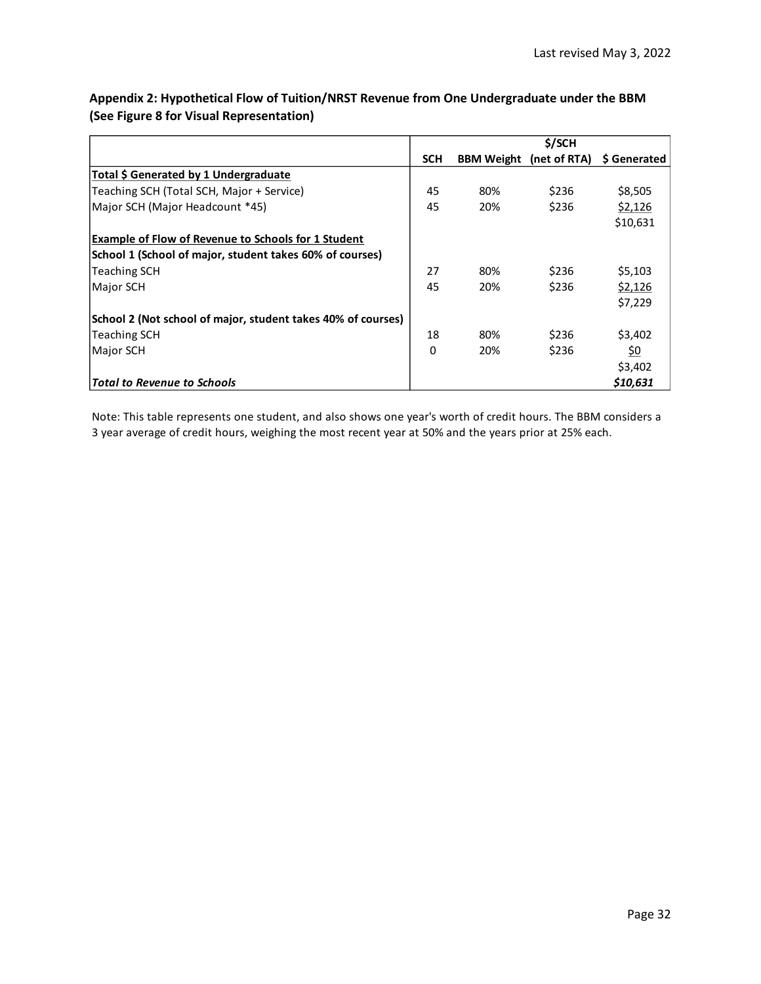# **Appendix 2: Hypothetical Flow of Tuition/NRST Revenue from One Undergraduate under the BBM (See Figure 8 for Visual Representation)**

|                                                              | \$/SCH     |     |                                |              |
|--------------------------------------------------------------|------------|-----|--------------------------------|--------------|
|                                                              | <b>SCH</b> |     | <b>BBM Weight</b> (net of RTA) | \$ Generated |
| Total \$ Generated by 1 Undergraduate                        |            |     |                                |              |
| Teaching SCH (Total SCH, Major + Service)                    | 45         | 80% | \$236                          | \$8,505      |
| Major SCH (Major Headcount *45)                              | 45         | 20% | \$236                          | \$2,126      |
|                                                              |            |     |                                | \$10,631     |
| <b>Example of Flow of Revenue to Schools for 1 Student</b>   |            |     |                                |              |
| School 1 (School of major, student takes 60% of courses)     |            |     |                                |              |
| Teaching SCH                                                 | 27         | 80% | \$236                          | \$5,103      |
| Major SCH                                                    | 45         | 20% | \$236                          | \$2,126      |
|                                                              |            |     |                                | \$7,229      |
| School 2 (Not school of major, student takes 40% of courses) |            |     |                                |              |
| <b>Teaching SCH</b>                                          | 18         | 80% | \$236                          | \$3,402      |
| Major SCH                                                    | 0          | 20% | \$236                          | <u>\$0</u>   |
|                                                              |            |     |                                | \$3,402      |
| <b>Total to Revenue to Schools</b>                           |            |     |                                | \$10,631     |

Note: This table represents one student, and also shows one year's worth of credit hours. The BBM considers a 3 year average of credit hours, weighing the most recent year at 50% and the years prior at 25% each.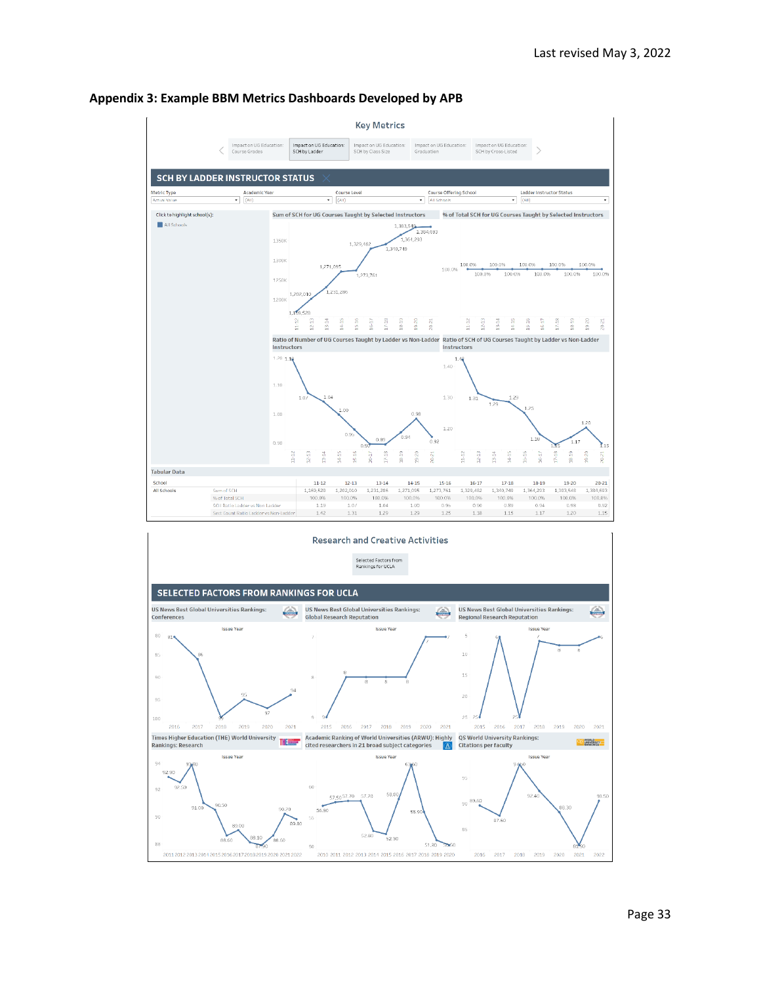

#### **Appendix 3: Example BBM Metrics Dashboards Developed by APB**